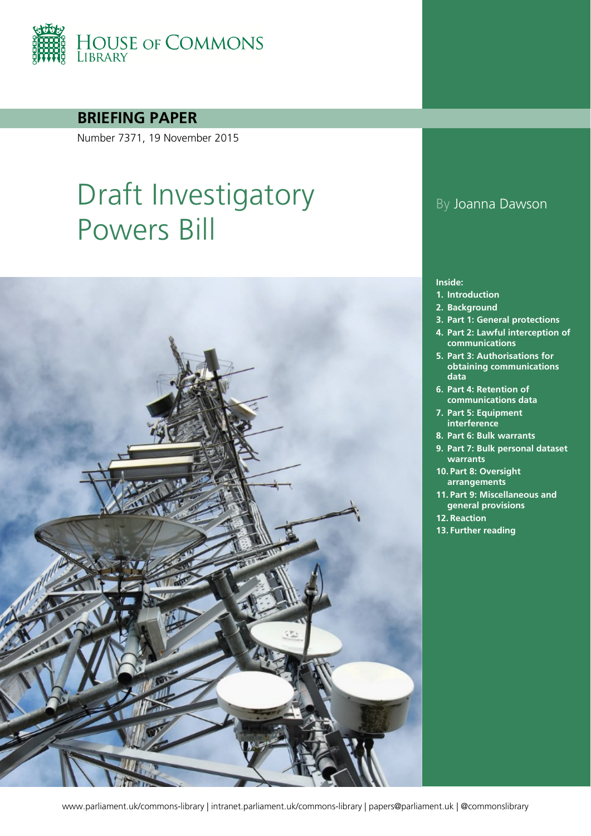

**BRIEFING PAPER**

Number 7371, 19 November 2015

# Draft Investigatory Powers Bill



## By Joanna Dawson

#### **Inside:**

- **1. [Introduction](#page-3-0)**
- **2. [Background](#page-4-0)**
- **3. [Part 1: General protections](#page-10-0)**
- **4. [Part 2: Lawful interception of](#page-12-0)  [communications](#page-12-0)**
- **5. [Part 3: Authorisations for](#page-15-0)  [obtaining communications](#page-15-0)  [data](#page-15-0)**
- **6. [Part 4: Retention of](#page-19-0)  [communications data](#page-19-0)**
- **7. [Part 5: Equipment](#page-22-0)  [interference](#page-22-0)**
- **8. [Part 6: Bulk warrants](#page-24-0)**
- **9. [Part 7: Bulk personal dataset](#page-26-0)  [warrants](#page-26-0)**
- **10. [Part 8: Oversight](#page-27-0)  [arrangements](#page-27-0)**
- **11. [Part 9: Miscellaneous and](#page-30-0)  [general provisions](#page-30-0)**
- **12. [Reaction](#page-31-0)**
- **13. [Further reading](#page-40-0)**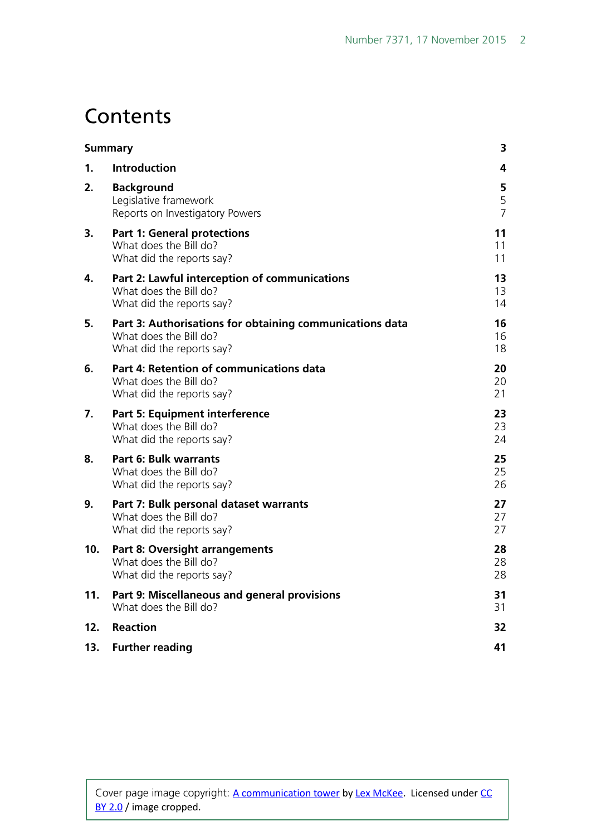## **Contents**

| <b>Summary</b>  |                                                                                                                 | 3                        |
|-----------------|-----------------------------------------------------------------------------------------------------------------|--------------------------|
| $\mathbf 1$ .   | Introduction                                                                                                    | 4                        |
| 2.              | <b>Background</b><br>Legislative framework<br>Reports on Investigatory Powers                                   | 5<br>5<br>$\overline{7}$ |
| 3.              | <b>Part 1: General protections</b><br>What does the Bill do?<br>What did the reports say?                       | 11<br>11<br>11           |
| 4.              | Part 2: Lawful interception of communications<br>What does the Bill do?<br>What did the reports say?            | 13<br>13<br>14           |
| 5.              | Part 3: Authorisations for obtaining communications data<br>What does the Bill do?<br>What did the reports say? | 16<br>16<br>18           |
| 6.              | Part 4: Retention of communications data<br>What does the Bill do?<br>What did the reports say?                 | 20<br>20<br>21           |
| 7.              | Part 5: Equipment interference<br>What does the Bill do?<br>What did the reports say?                           | 23<br>23<br>24           |
| 8.              | <b>Part 6: Bulk warrants</b><br>What does the Bill do?<br>What did the reports say?                             | 25<br>25<br>26           |
| 9.              | Part 7: Bulk personal dataset warrants<br>What does the Bill do?<br>What did the reports say?                   | 27<br>27<br>27           |
| 10 <sub>1</sub> | <b>Part 8: Oversight arrangements</b><br>What does the Bill do?<br>What did the reports say?                    | 28<br>28<br>28           |
| 11.             | Part 9: Miscellaneous and general provisions<br>What does the Bill do?                                          | 31<br>31                 |
| 12.             | <b>Reaction</b>                                                                                                 | 32                       |
| 13.             | <b>Further reading</b>                                                                                          | 41                       |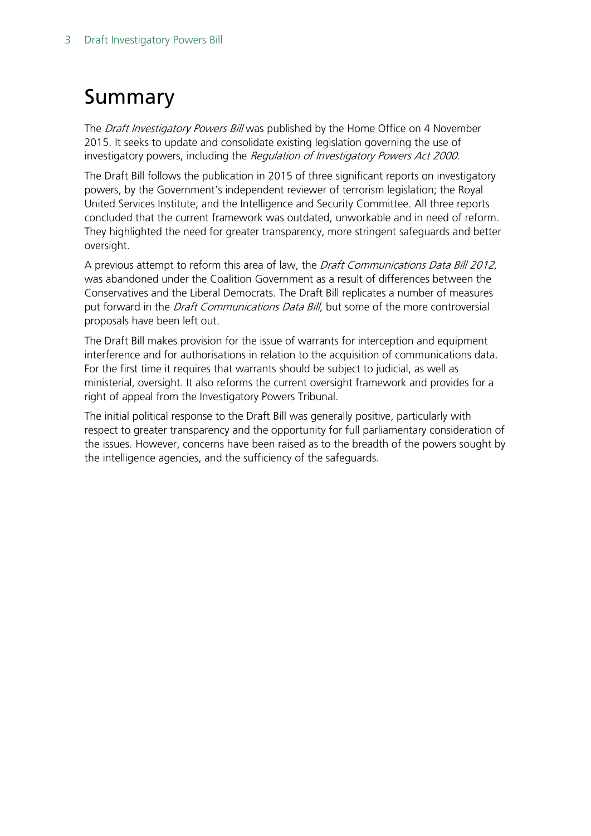## <span id="page-2-0"></span>Summary

The *Draft Investigatory Powers Bill* was published by the Home Office on 4 November 2015. It seeks to update and consolidate existing legislation governing the use of investigatory powers, including the Regulation of Investigatory Powers Act 2000.

The Draft Bill follows the publication in 2015 of three significant reports on investigatory powers, by the Government's independent reviewer of terrorism legislation; the Royal United Services Institute; and the Intelligence and Security Committee. All three reports concluded that the current framework was outdated, unworkable and in need of reform. They highlighted the need for greater transparency, more stringent safeguards and better oversight.

A previous attempt to reform this area of law, the Draft Communications Data Bill 2012, was abandoned under the Coalition Government as a result of differences between the Conservatives and the Liberal Democrats. The Draft Bill replicates a number of measures put forward in the *Draft Communications Data Bill*, but some of the more controversial proposals have been left out.

The Draft Bill makes provision for the issue of warrants for interception and equipment interference and for authorisations in relation to the acquisition of communications data. For the first time it requires that warrants should be subject to judicial, as well as ministerial, oversight. It also reforms the current oversight framework and provides for a right of appeal from the Investigatory Powers Tribunal.

The initial political response to the Draft Bill was generally positive, particularly with respect to greater transparency and the opportunity for full parliamentary consideration of the issues. However, concerns have been raised as to the breadth of the powers sought by the intelligence agencies, and the sufficiency of the safeguards.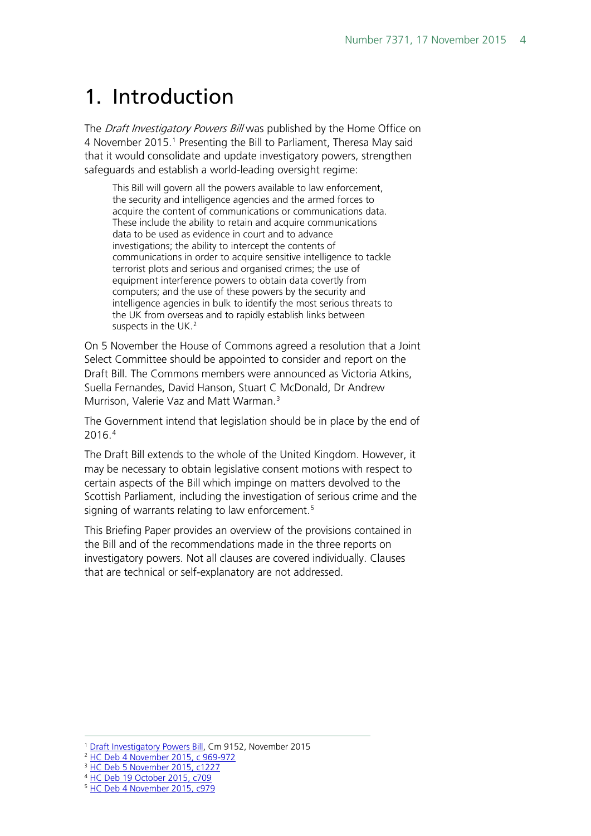## <span id="page-3-0"></span>1. Introduction

The *Draft Investigatory Powers Bill* was published by the Home Office on 4 November 20[1](#page-3-1)5.<sup>1</sup> Presenting the Bill to Parliament, Theresa May said that it would consolidate and update investigatory powers, strengthen safeguards and establish a world-leading oversight regime:

This Bill will govern all the powers available to law enforcement, the security and intelligence agencies and the armed forces to acquire the content of communications or communications data. These include the ability to retain and acquire communications data to be used as evidence in court and to advance investigations; the ability to intercept the contents of communications in order to acquire sensitive intelligence to tackle terrorist plots and serious and organised crimes; the use of equipment interference powers to obtain data covertly from computers; and the use of these powers by the security and intelligence agencies in bulk to identify the most serious threats to the UK from overseas and to rapidly establish links between suspects in the UK.<sup>[2](#page-3-2)</sup>

On 5 November the House of Commons agreed a resolution that a Joint Select Committee should be appointed to consider and report on the Draft Bill. The Commons members were announced as Victoria Atkins, Suella Fernandes, David Hanson, Stuart C McDonald, Dr Andrew Murrison, Valerie Vaz and Matt Warman.<sup>[3](#page-3-3)</sup>

The Government intend that legislation should be in place by the end of 2016.[4](#page-3-4)

The Draft Bill extends to the whole of the United Kingdom. However, it may be necessary to obtain legislative consent motions with respect to certain aspects of the Bill which impinge on matters devolved to the Scottish Parliament, including the investigation of serious crime and the signing of warrants relating to law enforcement.<sup>[5](#page-3-5)</sup>

This Briefing Paper provides an overview of the provisions contained in the Bill and of the recommendations made in the three reports on investigatory powers. Not all clauses are covered individually. Clauses that are technical or self-explanatory are not addressed.

<sup>1</sup> [Draft Investigatory Powers Bill,](https://www.gov.uk/government/publications/draft-investigatory-powers-bill) Cm 9152, November 2015  $\overline{a}$ 

<span id="page-3-2"></span><span id="page-3-1"></span><sup>2</sup> [HC Deb 4 November 2015, c 969-972](http://www.publications.parliament.uk/pa/cm201516/cmhansrd/cm151104/debtext/151104-0001.htm%2315110440000003)

<sup>&</sup>lt;sup>3</sup> [HC Deb 5 November 2015, c1227](http://www.publications.parliament.uk/pa/cm201516/cmhansrd/cm151105/debtext/151105-0004.htm%2315110531000020)

<span id="page-3-4"></span><span id="page-3-3"></span><sup>4</sup> [HC Deb 19 October 2015, c709](http://www.publications.parliament.uk/pa/cm201516/cmhansrd/cm151019/debtext/151019-0002.htm%2315101917000001)

<span id="page-3-5"></span><sup>5</sup> [HC Deb 4 November 2015, c979](http://www.publications.parliament.uk/pa/cm201516/cmhansrd/cm151104/debtext/151104-0001.htm%2315110440000003)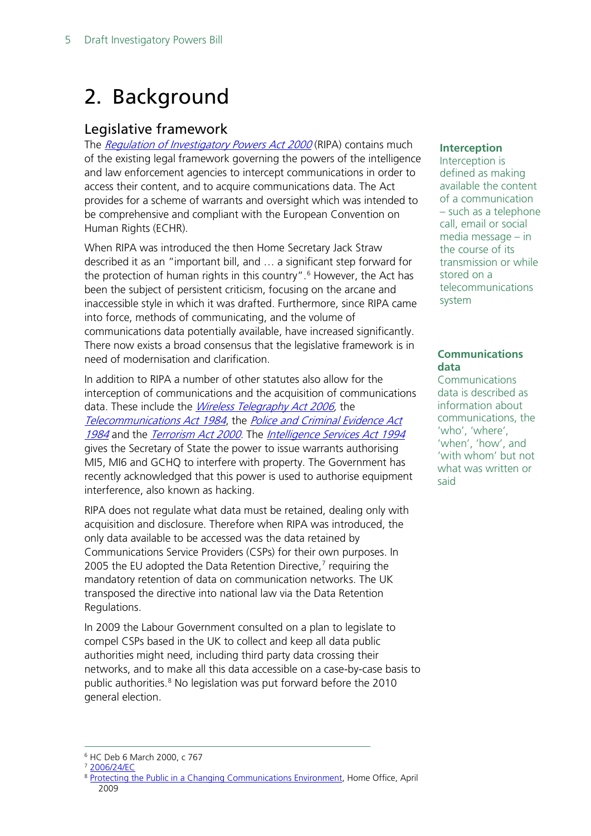## <span id="page-4-0"></span>2. Background

## <span id="page-4-1"></span>Legislative framework

The [Regulation of Investigatory Powers Act 2000](http://www.legislation.gov.uk/ukpga/2000/23/contents) (RIPA) contains much of the existing legal framework governing the powers of the intelligence and law enforcement agencies to intercept communications in order to access their content, and to acquire communications data. The Act provides for a scheme of warrants and oversight which was intended to be comprehensive and compliant with the European Convention on Human Rights (ECHR).

When RIPA was introduced the then Home Secretary Jack Straw described it as an "important bill, and … a significant step forward for the protection of human rights in this country".<sup>[6](#page-4-2)</sup> However, the Act has been the subject of persistent criticism, focusing on the arcane and inaccessible style in which it was drafted. Furthermore, since RIPA came into force, methods of communicating, and the volume of communications data potentially available, have increased significantly. There now exists a broad consensus that the legislative framework is in need of modernisation and clarification.

In addition to RIPA a number of other statutes also allow for the interception of communications and the acquisition of communications data. These include the *Wireless Telegraphy Act 2006*, the [Telecommunications Act 1984](http://www.legislation.gov.uk/ukpga/1984/12/contents), the [Police and Criminal Evidence Act](http://www.legislation.gov.uk/ukpga/1984/60/contents) [1984](http://www.legislation.gov.uk/ukpga/1984/60/contents) and the [Terrorism Act 2000.](http://www.legislation.gov.uk/ukpga/2000/11/contents) The [Intelligence Services Act 1994](http://www.legislation.gov.uk/ukpga/1994/13/contents) gives the Secretary of State the power to issue warrants authorising MI5, MI6 and GCHQ to interfere with property. The Government has recently acknowledged that this power is used to authorise equipment interference, also known as hacking.

RIPA does not regulate what data must be retained, dealing only with acquisition and disclosure. Therefore when RIPA was introduced, the only data available to be accessed was the data retained by Communications Service Providers (CSPs) for their own purposes. In 2005 the EU adopted the Data Retention Directive, $<sup>7</sup>$  $<sup>7</sup>$  $<sup>7</sup>$  requiring the</sup> mandatory retention of data on communication networks. The UK transposed the directive into national law via the Data Retention Regulations.

In 2009 the Labour Government consulted on a plan to legislate to compel CSPs based in the UK to collect and keep all data public authorities might need, including third party data crossing their networks, and to make all this data accessible on a case-by-case basis to public authorities.<sup>[8](#page-4-4)</sup> No legislation was put forward before the 2010 general election.

#### **Interception**

Interception is defined as making available the content of a communication – such as a telephone call, email or social media message – in the course of its transmission or while stored on a telecommunications system

#### **Communications data**

Communications data is described as information about communications, the 'who', 'where', 'when', 'how', and 'with whom' but not what was written or said

<span id="page-4-3"></span><span id="page-4-2"></span><sup>6</sup> HC Deb 6 March 2000, c 767

<sup>7</sup> [2006/24/EC](http://eur-lex.europa.eu/LexUriServ/LexUriServ.do?uri=OJ:L:2006:105:0054:0063:EN:PDF)

<span id="page-4-4"></span><sup>8</sup> [Protecting the Public in a Changing Communications Environment,](http://webarchive.nationalarchives.gov.uk/20130128103514/http:/www.homeoffice.gov.uk/documents/cons-2009-communications-data?view=Binary) Home Office, April 2009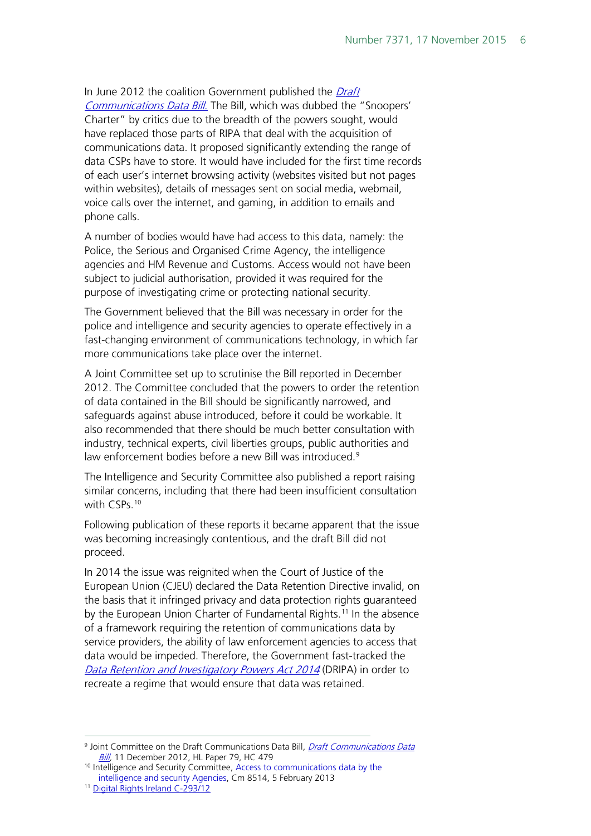In June 2012 the coalition Government published the Draft [Communications Data Bill](http://www.parliament.uk/draft-communications-bill/). The Bill, which was dubbed the "Snoopers' Charter" by critics due to the breadth of the powers sought, would have replaced those parts of RIPA that deal with the acquisition of communications data. It proposed significantly extending the range of data CSPs have to store. It would have included for the first time records of each user's internet browsing activity (websites visited but not pages within websites), details of messages sent on social media, webmail, voice calls over the internet, and gaming, in addition to emails and phone calls.

A number of bodies would have had access to this data, namely: the Police, the Serious and Organised Crime Agency, the intelligence agencies and HM Revenue and Customs. Access would not have been subject to judicial authorisation, provided it was required for the purpose of investigating crime or protecting national security.

The Government believed that the Bill was necessary in order for the police and intelligence and security agencies to operate effectively in a fast-changing environment of communications technology, in which far more communications take place over the internet.

A Joint Committee set up to scrutinise the Bill reported in December 2012. The Committee concluded that the powers to order the retention of data contained in the Bill should be significantly narrowed, and safeguards against abuse introduced, before it could be workable. It also recommended that there should be much better consultation with industry, technical experts, civil liberties groups, public authorities and law enforcement bodies before a new Bill was introduced.<sup>[9](#page-5-0)</sup>

The Intelligence and Security Committee also published a report raising similar concerns, including that there had been insufficient consultation with CSPs.<sup>[10](#page-5-1)</sup>

Following publication of these reports it became apparent that the issue was becoming increasingly contentious, and the draft Bill did not proceed.

In 2014 the issue was reignited when the Court of Justice of the European Union (CJEU) declared the Data Retention Directive invalid, on the basis that it infringed privacy and data protection rights guaranteed by the European Union Charter of Fundamental Rights.<sup>[11](#page-5-2)</sup> In the absence of a framework requiring the retention of communications data by service providers, the ability of law enforcement agencies to access that data would be impeded. Therefore, the Government fast-tracked the [Data Retention and Investigatory Powers Act 2014](http://www.legislation.gov.uk/ukpga/2014/27/contents) (DRIPA) in order to recreate a regime that would ensure that data was retained.

<span id="page-5-0"></span><sup>9</sup> Joint Committee on the [Draft Communications Data](http://www.publications.parliament.uk/pa/jt201213/jtselect/jtdraftcomuni/79/79.pdf) Bill, *Draft Communications Data Bill*, 11 December 2012, HL Paper 79, HC 479  $\overline{a}$ 

<span id="page-5-1"></span><sup>&</sup>lt;sup>10</sup> Intelligence and Security Committee, Access to communications data by the intelligence and security Agencies, Cm 8514, 5 February 2013 11 [Digital Rights Ireland C-293/12](http://curia.europa.eu/juris/document/document.jsf?docid=150642&doclang=EN)

<span id="page-5-2"></span>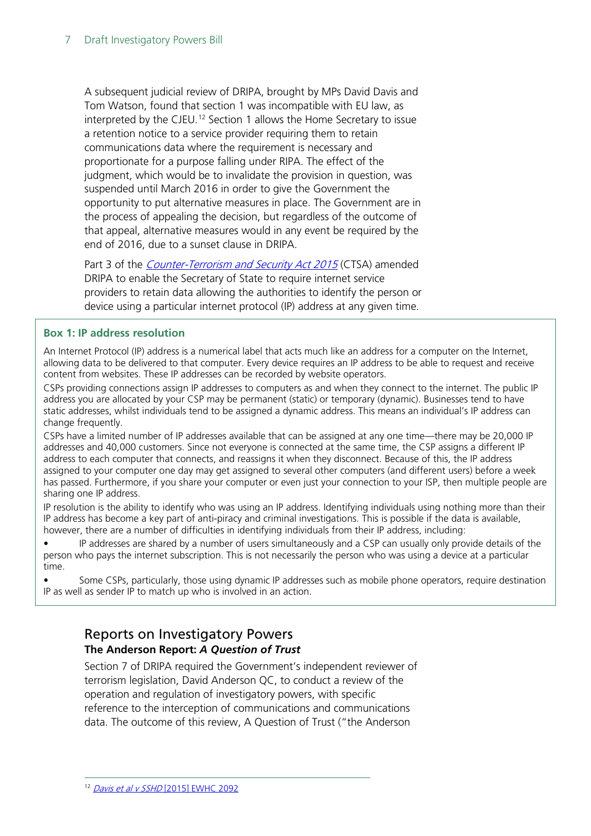A subsequent judicial review of DRIPA, brought by MPs David Davis and Tom Watson, found that section 1 was incompatible with EU law, as interpreted by the CJEU.<sup>[12](#page-6-1)</sup> Section 1 allows the Home Secretary to issue a retention notice to a service provider requiring them to retain communications data where the requirement is necessary and proportionate for a purpose falling under RIPA. The effect of the judgment, which would be to invalidate the provision in question, was suspended until March 2016 in order to give the Government the opportunity to put alternative measures in place. The Government are in the process of appealing the decision, but regardless of the outcome of that appeal, alternative measures would in any event be required by the end of 2016, due to a sunset clause in DRIPA.

Part 3 of the *[Counter-Terrorism and Security Act 2015](http://www.legislation.gov.uk/ukpga/2015/6/contents)* (CTSA) amended DRIPA to enable the Secretary of State to require internet service providers to retain data allowing the authorities to identify the person or device using a particular internet protocol (IP) address at any given time.

#### **Box 1: IP address resolution**

An Internet Protocol (IP) address is a numerical label that acts much like an address for a computer on the Internet, allowing data to be delivered to that computer. Every device requires an IP address to be able to request and receive content from websites. These IP addresses can be recorded by website operators.

CSPs providing connections assign IP addresses to computers as and when they connect to the internet. The public IP address you are allocated by your CSP may be permanent (static) or temporary (dynamic). Businesses tend to have static addresses, whilst individuals tend to be assigned a dynamic address. This means an individual's IP address can change frequently.

CSPs have a limited number of IP addresses available that can be assigned at any one time—there may be 20,000 IP addresses and 40,000 customers. Since not everyone is connected at the same time, the CSP assigns a different IP address to each computer that connects, and reassigns it when they disconnect. Because of this, the IP address assigned to your computer one day may get assigned to several other computers (and different users) before a week has passed. Furthermore, if you share your computer or even just your connection to your ISP, then multiple people are sharing one IP address.

IP resolution is the ability to identify who was using an IP address. Identifying individuals using nothing more than their IP address has become a key part of anti-piracy and criminal investigations. This is possible if the data is available, however, there are a number of difficulties in identifying individuals from their IP address, including:

• IP addresses are shared by a number of users simultaneously and a CSP can usually only provide details of the person who pays the internet subscription. This is not necessarily the person who was using a device at a particular time.

• Some CSPs, particularly, those using dynamic IP addresses such as mobile phone operators, require destination IP as well as sender IP to match up who is involved in an action.

### <span id="page-6-0"></span>Reports on Investigatory Powers **The Anderson Report:** *A Question of Trust*

<span id="page-6-1"></span>Section 7 of DRIPA required the Government's independent reviewer of terrorism legislation, David Anderson QC, to conduct a review of the operation and regulation of investigatory powers, with specific reference to the interception of communications and communications data. The outcome of this review, A Question of Trust ("the Anderson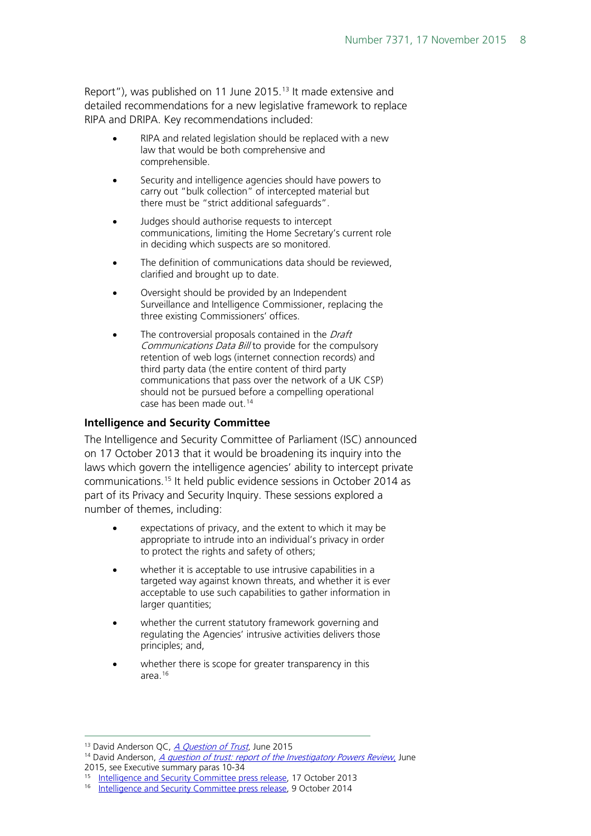Report"), was published on 11 June 2015.<sup>[13](#page-7-0)</sup> It made extensive and detailed recommendations for a new legislative framework to replace RIPA and DRIPA. Key recommendations included:

- RIPA and related legislation should be replaced with a new law that would be both comprehensive and comprehensible.
- Security and intelligence agencies should have powers to carry out "bulk collection" of intercepted material but there must be "strict additional safeguards".
- Judges should authorise requests to intercept communications, limiting the Home Secretary's current role in deciding which suspects are so monitored.
- The definition of communications data should be reviewed, clarified and brought up to date.
- Oversight should be provided by an Independent Surveillance and Intelligence Commissioner, replacing the three existing Commissioners' offices.
- The controversial proposals contained in the *Draft* Communications Data Bill to provide for the compulsory retention of web logs (internet connection records) and third party data (the entire content of third party communications that pass over the network of a UK CSP) should not be pursued before a compelling operational case has been made out.<sup>[14](#page-7-1)</sup>

#### **Intelligence and Security Committee**

The Intelligence and Security Committee of Parliament (ISC) announced on 17 October 2013 that it would be broadening its inquiry into the laws which govern the intelligence agencies' ability to intercept private communications.[15](#page-7-2) It held public evidence sessions in October 2014 as part of its Privacy and Security Inquiry. These sessions explored a number of themes, including:

- expectations of privacy, and the extent to which it may be appropriate to intrude into an individual's privacy in order to protect the rights and safety of others;
- whether it is acceptable to use intrusive capabilities in a targeted way against known threats, and whether it is ever acceptable to use such capabilities to gather information in larger quantities;
- whether the current statutory framework governing and regulating the Agencies' intrusive activities delivers those principles; and,
- whether there is scope for greater transparency in this area[.16](#page-7-3)

<span id="page-7-0"></span><sup>&</sup>lt;sup>13</sup> David Anderson QC, [A Question of Trust](https://www.judiciary.gov.uk/wp-content/uploads/2015/07/davis_judgment.pdf), June 2015  $\overline{a}$ 

<span id="page-7-1"></span><sup>&</sup>lt;sup>14</sup> David Anderson, *[A question of trust: report of the Investigatory Powers Review](https://terrorismlegislationreviewer.independent.gov.uk/wp-content/uploads/2015/06/IPR-Report-Print-Version.pdf)*, June<br>2015, see Executive summary paras 10-34

<span id="page-7-2"></span><sup>&</sup>lt;sup>15</sup> [Intelligence and Security Committee press release,](https://b1cba9b3-a-5e6631fd-s-sites.googlegroups.com/a/independent.gov.uk/isc/files/20131017_ISC_statement_privacy_and_security_inquiry.pdf?attachauth=ANoY7cq0sv_3d9f8Spbz7HUHRuAyWrPT8dnfiZUQSQtrnocIwJzCFnjdhBBDTWl8ayA6tea20b0kF8MYaQC2W6uGU0rN6-n8Q6FnI84el9sf7RWVZmrTUdfyK83EY-pI6fpZwUAEvQm93-X-K_gMB9F8psCz95W89teUN_0mNwPHaYhXqf5i9ZkD8gObIMUPZBAdIXU1PdZkMTTEK8r8x5DF_OqO35X0TDWF_yJdcgH0NXohcMpCR8EPvVALi3S-V1R3Cn3dvverymoW2dTBnqr4XZm3-673NA%3D%3D&attredirects=0) 17 October 2013

<span id="page-7-3"></span><sup>&</sup>lt;sup>16</sup> [Intelligence and Security Committee press release,](https://b1cba9b3-a-5e6631fd-s-sites.googlegroups.com/a/independent.gov.uk/isc/files/20141009_ISC_statement_privacy_security_sessions.pdf?attachauth=ANoY7cpzMC8sia-l2kszsHEr6BEb5Uygd3K0Le6R9dCesTyFW_8PPxJIWjCI04By3t3_FmDMmRJqKS7MdEkvfqsnHjVfUmW_fqCLbTcdvbQJfbSzBJ9dAgkAa0Ut34NweVcsFobNekTpWFp6Uv7chz2EKYVrTVGFXLXckmHrOSIQHtU8dys82sQJqM79tHT1shFvoNzC1mW6SxZHDnwcgXYhpOw9uYWwSpfPbu6DJIvluim2vzaAbWJ1OOX5gYS0JrgRLRXmeZovthxQwRZWpZdqvnpIMfuXJg%3D%3D&attredirects=0) 9 October 2014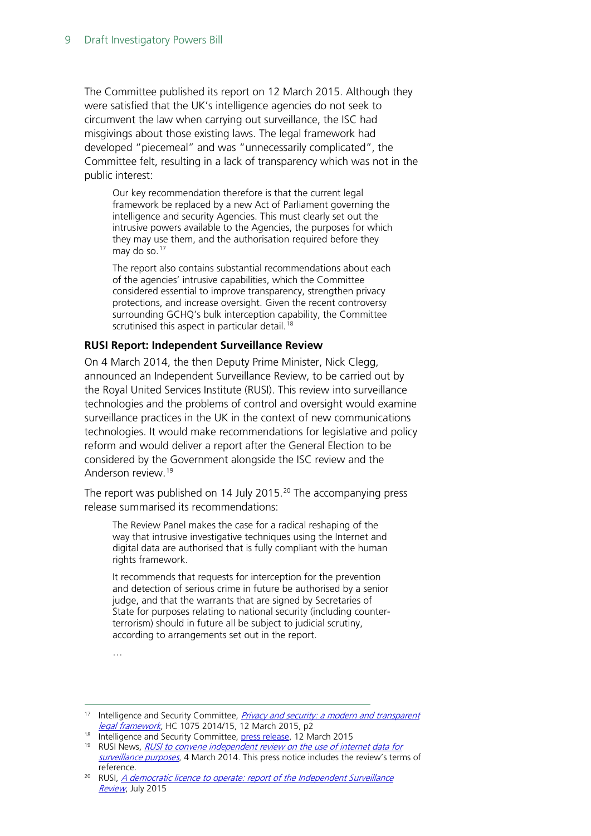The Committee published its report on 12 March 2015. Although they were satisfied that the UK's intelligence agencies do not seek to circumvent the law when carrying out surveillance, the ISC had misgivings about those existing laws. The legal framework had developed "piecemeal" and was "unnecessarily complicated", the Committee felt, resulting in a lack of transparency which was not in the public interest:

Our key recommendation therefore is that the current legal framework be replaced by a new Act of Parliament governing the intelligence and security Agencies. This must clearly set out the intrusive powers available to the Agencies, the purposes for which they may use them, and the authorisation required before they may do so.<sup>[17](#page-8-0)</sup>

The report also contains substantial recommendations about each of the agencies' intrusive capabilities, which the Committee considered essential to improve transparency, strengthen privacy protections, and increase oversight. Given the recent controversy surrounding GCHQ's bulk interception capability, the Committee scrutinised this aspect in particular detail.<sup>[18](#page-8-1)</sup>

#### **RUSI Report: Independent Surveillance Review**

On 4 March 2014, the then Deputy Prime Minister, Nick Clegg, announced an Independent Surveillance Review, to be carried out by the Royal United Services Institute (RUSI). This review into surveillance technologies and the problems of control and oversight would examine surveillance practices in the UK in the context of new communications technologies. It would make recommendations for legislative and policy reform and would deliver a report after the General Election to be considered by the Government alongside the ISC review and the Anderson review.<sup>[19](#page-8-2)</sup>

The report was published on 14 July [20](#page-8-3)15.<sup>20</sup> The accompanying press release summarised its recommendations:

The Review Panel makes the case for a radical reshaping of the way that intrusive investigative techniques using the Internet and digital data are authorised that is fully compliant with the human rights framework.

It recommends that requests for interception for the prevention and detection of serious crime in future be authorised by a senior judge, and that the warrants that are signed by Secretaries of State for purposes relating to national security (including counterterrorism) should in future all be subject to judicial scrutiny, according to arrangements set out in the report.

<sup>…</sup>

<span id="page-8-0"></span><sup>&</sup>lt;sup>17</sup> Intelligence and Security Committee, *Privacy and security: a modern and transparent* [legal framework](https://b1cba9b3-a-5e6631fd-s-sites.googlegroups.com/a/independent.gov.uk/isc/files/20150312_ISC_P%2BS%2BRpt%28web%29.pdf?attachauth=ANoY7co-sMF7dNsFS3bTftpmXvHk6MTR2QnGyHYhA-2_xAGu4LdyiqID0gmRmqr9WK0lNQK2PNTNGL1x2GeQrlWVUudTCvqKfbZsxkpVJVu5t9MVU6i30HBH9Kqe2O5ux33Wp3_WoI8TJriLVWh4JsjLnrYLzzdGdJmTZ632CjxCA4nB3dC62YZ_kEkiXhQQmDbKNsCrH4vsySy1oLSnofC1NL8A1LR51md7LvtqtjYvKzGjGnYYcBlZ_hk6STCj2SxqOVOvBZ_4&attredirects=0), HC 1075 2014/15, 12 March 2015, p2

<span id="page-8-1"></span><sup>18</sup> Intelligence and Security Committee[, press release,](https://b1cba9b3-a-5e6631fd-s-sites.googlegroups.com/a/independent.gov.uk/isc/files/20150312_ISC_Press_Release_P%2BS.pdf?attachauth=ANoY7co-VFfyTk0VfImfXEsr8geCSFai8CDvxrWkbnZRPmv9VUXpcZCBSO4NLFxNZtAfP4DKEKE2WJDZVGUG5fL5jPeVA74u1_nT2SlypjxPm3EhSoO5CplzMhTuT5lX9sFsenVNrTE1O9TXrzuPNhrT6tHgKHjjWVYULD5jA5APbjDbpk_fziaOaosvv9Z25M7FPt6FUSWMKvd-nZbAoEJY6hNVab3UG8cVXRfs64DEeorFhyL5RAcunvGnvJC17CJdYt84MoSC&attredirects=0) 12 March 2015

<span id="page-8-2"></span><sup>&</sup>lt;sup>19</sup> RUSI News, *RUSI to convene independent review on the use of internet data for* [surveillance purposes](https://www.rusi.org/news/ref:N5315B2C9B1941/), 4 March 2014. This press notice includes the review's terms of reference.

<span id="page-8-3"></span><sup>&</sup>lt;sup>20</sup> RUSI, A democratic licence to operate: report of the Independent Surveillance [Review](https://www.rusi.org/downloads/assets/ISR-Report-press.pdf), July 2015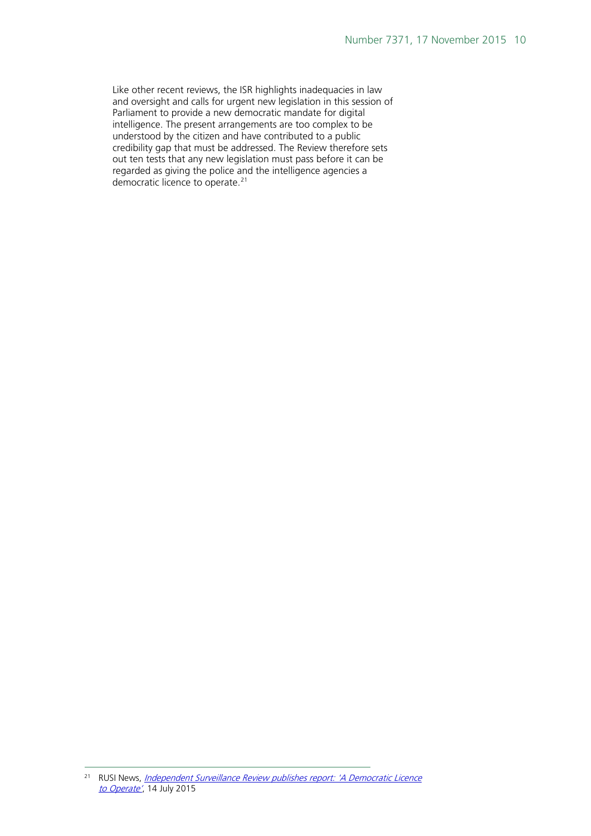Like other recent reviews, the ISR highlights inadequacies in law and oversight and calls for urgent new legislation in this session of Parliament to provide a new democratic mandate for digital intelligence. The present arrangements are too complex to be understood by the citizen and have contributed to a public credibility gap that must be addressed. The Review therefore sets out ten tests that any new legislation must pass before it can be regarded as giving the police and the intelligence agencies a democratic licence to operate.<sup>[21](#page-9-0)</sup>

<span id="page-9-0"></span><sup>&</sup>lt;sup>21</sup> RUSI News, <u>Independent Surveillance Review publishes report: 'A Democratic Licence</u> [to Operate'](https://www.rusi.org/news/ref:N55A40513857F8/%23.VdcJPKXQeid), 14 July 2015 -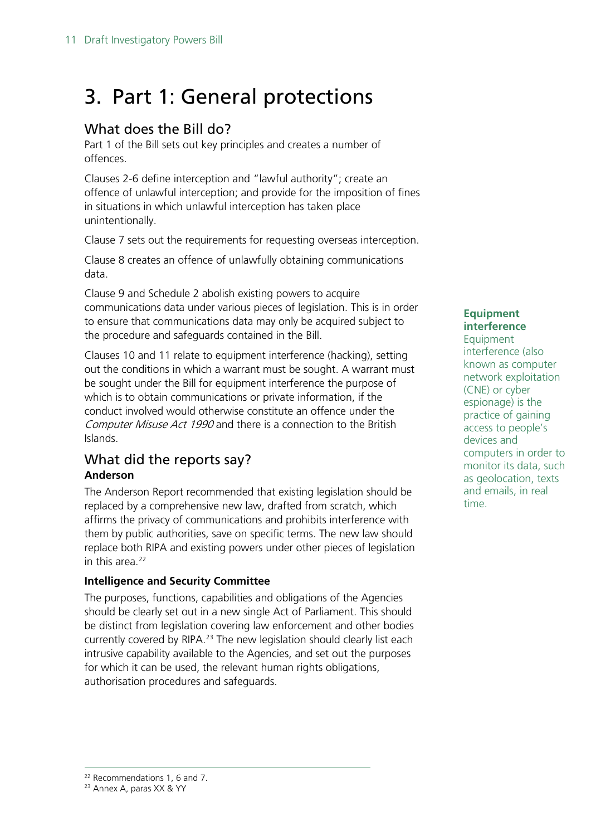## <span id="page-10-0"></span>3. Part 1: General protections

## <span id="page-10-1"></span>What does the Bill do?

Part 1 of the Bill sets out key principles and creates a number of offences.

Clauses 2-6 define interception and "lawful authority"; create an offence of unlawful interception; and provide for the imposition of fines in situations in which unlawful interception has taken place unintentionally.

Clause 7 sets out the requirements for requesting overseas interception.

Clause 8 creates an offence of unlawfully obtaining communications data.

Clause 9 and Schedule 2 abolish existing powers to acquire communications data under various pieces of legislation. This is in order to ensure that communications data may only be acquired subject to the procedure and safeguards contained in the Bill.

Clauses 10 and 11 relate to equipment interference (hacking), setting out the conditions in which a warrant must be sought. A warrant must be sought under the Bill for equipment interference the purpose of which is to obtain communications or private information, if the conduct involved would otherwise constitute an offence under the Computer Misuse Act 1990 and there is a connection to the British Islands.

## <span id="page-10-2"></span>What did the reports say? **Anderson**

The Anderson Report recommended that existing legislation should be replaced by a comprehensive new law, drafted from scratch, which affirms the privacy of communications and prohibits interference with them by public authorities, save on specific terms. The new law should replace both RIPA and existing powers under other pieces of legislation in this area.<sup>[22](#page-10-3)</sup>

### **Intelligence and Security Committee**

The purposes, functions, capabilities and obligations of the Agencies should be clearly set out in a new single Act of Parliament. This should be distinct from legislation covering law enforcement and other bodies currently covered by RIPA. [23](#page-10-4) The new legislation should clearly list each intrusive capability available to the Agencies, and set out the purposes for which it can be used, the relevant human rights obligations, authorisation procedures and safeguards.

#### **Equipment interference**

Equipment interference (also known as computer network exploitation (CNE) or cyber espionage) is the practice of gaining access to people's devices and computers in order to monitor its data, such as geolocation, texts and emails, in real time.

<span id="page-10-3"></span><sup>22</sup> Recommendations 1, 6 and 7. -

<span id="page-10-4"></span><sup>&</sup>lt;sup>23</sup> Annex A, paras XX & YY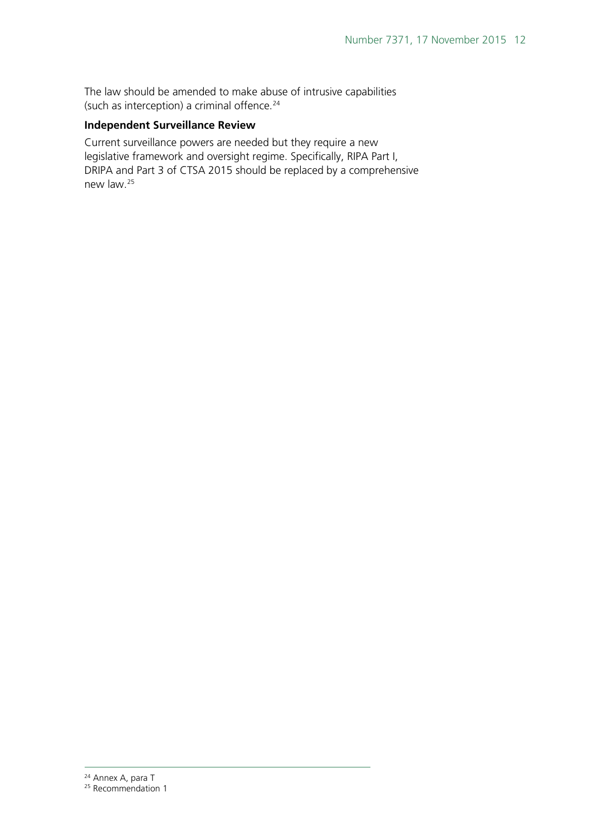The law should be amended to make abuse of intrusive capabilities (such as interception) a criminal offence.<sup>[24](#page-11-0)</sup>

#### **Independent Surveillance Review**

Current surveillance powers are needed but they require a new legislative framework and oversight regime. Specifically, RIPA Part I, DRIPA and Part 3 of CTSA 2015 should be replaced by a comprehensive new law[.25](#page-11-1)

<sup>&</sup>lt;sup>24</sup> Annex A, para T -

<span id="page-11-1"></span><span id="page-11-0"></span><sup>&</sup>lt;sup>25</sup> Recommendation 1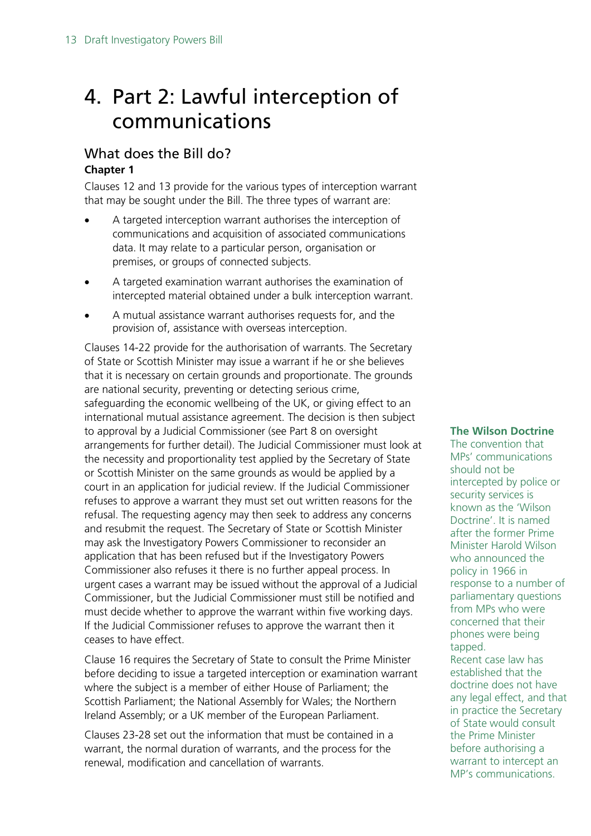## <span id="page-12-0"></span>4. Part 2: Lawful interception of communications

### <span id="page-12-1"></span>What does the Bill do? **Chapter 1**

Clauses 12 and 13 provide for the various types of interception warrant that may be sought under the Bill. The three types of warrant are:

- A targeted interception warrant authorises the interception of communications and acquisition of associated communications data. It may relate to a particular person, organisation or premises, or groups of connected subjects.
- A targeted examination warrant authorises the examination of intercepted material obtained under a bulk interception warrant.
- A mutual assistance warrant authorises requests for, and the provision of, assistance with overseas interception.

Clauses 14-22 provide for the authorisation of warrants. The Secretary of State or Scottish Minister may issue a warrant if he or she believes that it is necessary on certain grounds and proportionate. The grounds are national security, preventing or detecting serious crime, safeguarding the economic wellbeing of the UK, or giving effect to an international mutual assistance agreement. The decision is then subject to approval by a Judicial Commissioner (see Part 8 on oversight arrangements for further detail). The Judicial Commissioner must look at the necessity and proportionality test applied by the Secretary of State or Scottish Minister on the same grounds as would be applied by a court in an application for judicial review. If the Judicial Commissioner refuses to approve a warrant they must set out written reasons for the refusal. The requesting agency may then seek to address any concerns and resubmit the request. The Secretary of State or Scottish Minister may ask the Investigatory Powers Commissioner to reconsider an application that has been refused but if the Investigatory Powers Commissioner also refuses it there is no further appeal process. In urgent cases a warrant may be issued without the approval of a Judicial Commissioner, but the Judicial Commissioner must still be notified and must decide whether to approve the warrant within five working days. If the Judicial Commissioner refuses to approve the warrant then it ceases to have effect.

Clause 16 requires the Secretary of State to consult the Prime Minister before deciding to issue a targeted interception or examination warrant where the subject is a member of either House of Parliament; the Scottish Parliament; the National Assembly for Wales; the Northern Ireland Assembly; or a UK member of the European Parliament.

Clauses 23-28 set out the information that must be contained in a warrant, the normal duration of warrants, and the process for the renewal, modification and cancellation of warrants.

#### **The Wilson Doctrine**

The convention that MPs' communications should not be intercepted by police or security services is known as the 'Wilson Doctrine'. It is named after the former Prime Minister Harold Wilson who announced the policy in 1966 in response to a number of parliamentary questions from MPs who were concerned that their phones were being tapped. Recent case law has established that the doctrine does not have any legal effect, and that in practice the Secretary

of State would consult the Prime Minister before authorising a warrant to intercept an MP's communications.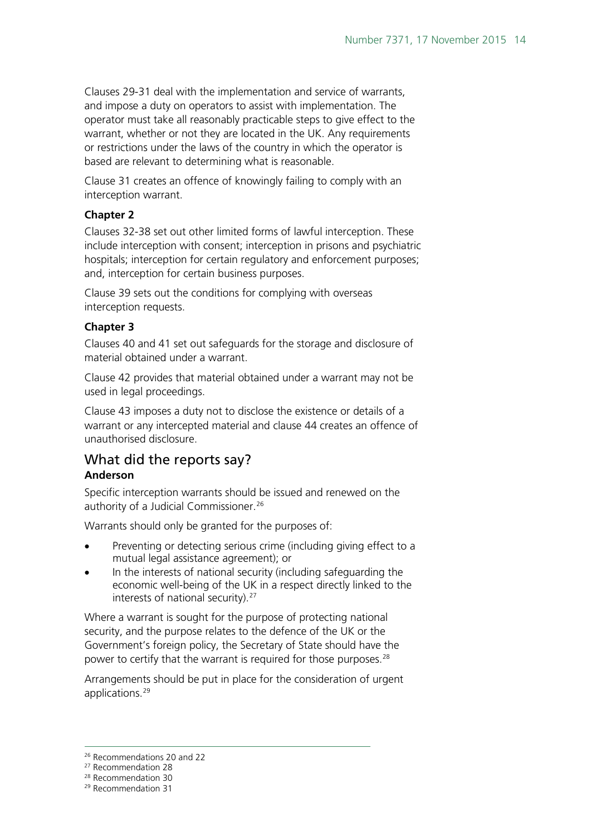Clauses 29-31 deal with the implementation and service of warrants, and impose a duty on operators to assist with implementation. The operator must take all reasonably practicable steps to give effect to the warrant, whether or not they are located in the UK. Any requirements or restrictions under the laws of the country in which the operator is based are relevant to determining what is reasonable.

Clause 31 creates an offence of knowingly failing to comply with an interception warrant.

#### **Chapter 2**

Clauses 32-38 set out other limited forms of lawful interception. These include interception with consent; interception in prisons and psychiatric hospitals; interception for certain regulatory and enforcement purposes; and, interception for certain business purposes.

Clause 39 sets out the conditions for complying with overseas interception requests.

#### **Chapter 3**

Clauses 40 and 41 set out safeguards for the storage and disclosure of material obtained under a warrant.

Clause 42 provides that material obtained under a warrant may not be used in legal proceedings.

Clause 43 imposes a duty not to disclose the existence or details of a warrant or any intercepted material and clause 44 creates an offence of unauthorised disclosure.

#### <span id="page-13-0"></span>What did the reports say? **Anderson**

Specific interception warrants should be issued and renewed on the authority of a Judicial Commissioner.<sup>[26](#page-13-1)</sup>

Warrants should only be granted for the purposes of:

- Preventing or detecting serious crime (including giving effect to a mutual legal assistance agreement); or
- In the interests of national security (including safeguarding the economic well-being of the UK in a respect directly linked to the interests of national security).<sup>27</sup>

Where a warrant is sought for the purpose of protecting national security, and the purpose relates to the defence of the UK or the Government's foreign policy, the Secretary of State should have the power to certify that the warrant is required for those purposes.<sup>[28](#page-13-3)</sup>

Arrangements should be put in place for the consideration of urgent applications.<sup>[29](#page-13-4)</sup>

<span id="page-13-1"></span><sup>26</sup> Recommendations 20 and 22

<sup>27</sup> Recommendation 28

<span id="page-13-3"></span><span id="page-13-2"></span><sup>28</sup> Recommendation 30

<span id="page-13-4"></span><sup>29</sup> Recommendation 31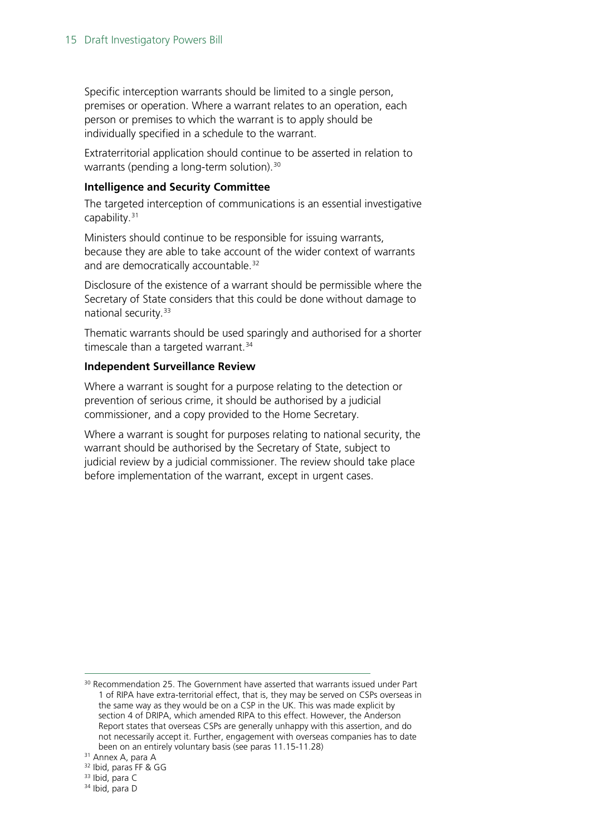Specific interception warrants should be limited to a single person, premises or operation. Where a warrant relates to an operation, each person or premises to which the warrant is to apply should be individually specified in a schedule to the warrant.

Extraterritorial application should continue to be asserted in relation to warrants (pending a long-term solution).<sup>[30](#page-14-0)</sup>

#### **Intelligence and Security Committee**

The targeted interception of communications is an essential investigative capability.<sup>[31](#page-14-1)</sup>

Ministers should continue to be responsible for issuing warrants, because they are able to take account of the wider context of warrants and are democratically accountable.<sup>[32](#page-14-2)</sup>

Disclosure of the existence of a warrant should be permissible where the Secretary of State considers that this could be done without damage to national security.<sup>[33](#page-14-3)</sup>

Thematic warrants should be used sparingly and authorised for a shorter timescale than a targeted warrant. $34$ 

#### **Independent Surveillance Review**

Where a warrant is sought for a purpose relating to the detection or prevention of serious crime, it should be authorised by a judicial commissioner, and a copy provided to the Home Secretary.

Where a warrant is sought for purposes relating to national security, the warrant should be authorised by the Secretary of State, subject to judicial review by a judicial commissioner. The review should take place before implementation of the warrant, except in urgent cases.

 $\overline{a}$ 

<span id="page-14-0"></span><sup>&</sup>lt;sup>30</sup> Recommendation 25. The Government have asserted that warrants issued under Part 1 of RIPA have extra-territorial effect, that is, they may be served on CSPs overseas in the same way as they would be on a CSP in the UK. This was made explicit by section 4 of DRIPA, which amended RIPA to this effect. However, the Anderson Report states that overseas CSPs are generally unhappy with this assertion, and do not necessarily accept it. Further, engagement with overseas companies has to date been on an entirely voluntary basis (see paras 11.15-11.28) 31 Annex A, para A

<span id="page-14-1"></span>

<sup>32</sup> Ibid, paras FF & GG

<span id="page-14-3"></span><span id="page-14-2"></span><sup>&</sup>lt;sup>33</sup> Ibid, para C

<span id="page-14-4"></span><sup>34</sup> Ibid, para D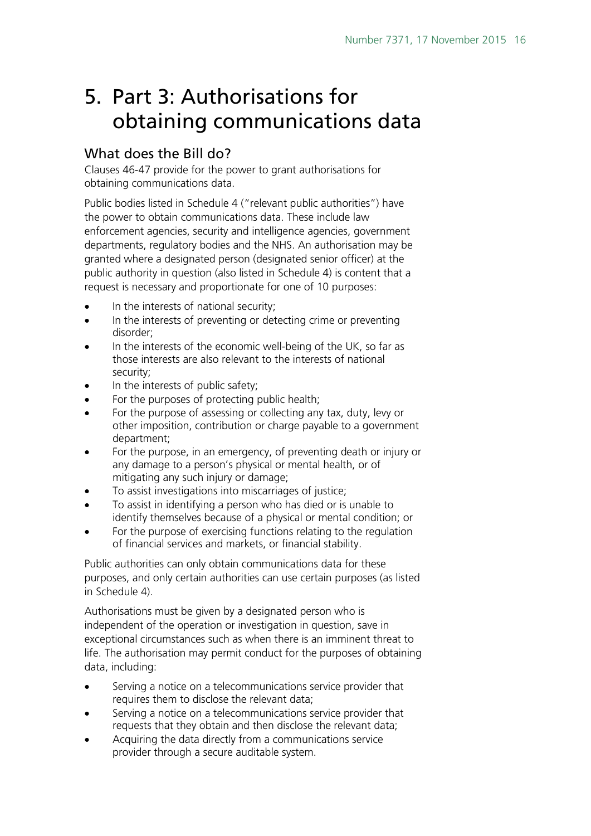## <span id="page-15-0"></span>5. Part 3: Authorisations for obtaining communications data

## <span id="page-15-1"></span>What does the Bill do?

Clauses 46-47 provide for the power to grant authorisations for obtaining communications data.

Public bodies listed in Schedule 4 ("relevant public authorities") have the power to obtain communications data. These include law enforcement agencies, security and intelligence agencies, government departments, regulatory bodies and the NHS. An authorisation may be granted where a designated person (designated senior officer) at the public authority in question (also listed in Schedule 4) is content that a request is necessary and proportionate for one of 10 purposes:

- In the interests of national security;
- In the interests of preventing or detecting crime or preventing disorder;
- In the interests of the economic well-being of the UK, so far as those interests are also relevant to the interests of national security;
- In the interests of public safety;
- For the purposes of protecting public health;
- For the purpose of assessing or collecting any tax, duty, levy or other imposition, contribution or charge payable to a government department;
- For the purpose, in an emergency, of preventing death or injury or any damage to a person's physical or mental health, or of mitigating any such injury or damage;
- To assist investigations into miscarriages of justice;
- To assist in identifying a person who has died or is unable to identify themselves because of a physical or mental condition; or
- For the purpose of exercising functions relating to the regulation of financial services and markets, or financial stability.

Public authorities can only obtain communications data for these purposes, and only certain authorities can use certain purposes (as listed in Schedule 4).

Authorisations must be given by a designated person who is independent of the operation or investigation in question, save in exceptional circumstances such as when there is an imminent threat to life. The authorisation may permit conduct for the purposes of obtaining data, including:

- Serving a notice on a telecommunications service provider that requires them to disclose the relevant data;
- Serving a notice on a telecommunications service provider that requests that they obtain and then disclose the relevant data;
- Acquiring the data directly from a communications service provider through a secure auditable system.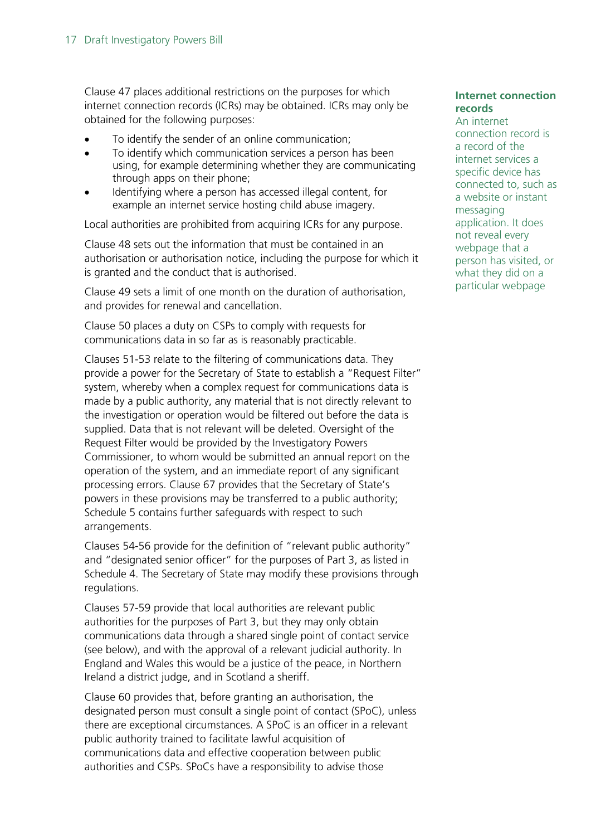Clause 47 places additional restrictions on the purposes for which internet connection records (ICRs) may be obtained. ICRs may only be obtained for the following purposes:

- To identify the sender of an online communication;
- To identify which communication services a person has been using, for example determining whether they are communicating through apps on their phone;
- Identifying where a person has accessed illegal content, for example an internet service hosting child abuse imagery.

Local authorities are prohibited from acquiring ICRs for any purpose.

Clause 48 sets out the information that must be contained in an authorisation or authorisation notice, including the purpose for which it is granted and the conduct that is authorised.

Clause 49 sets a limit of one month on the duration of authorisation, and provides for renewal and cancellation.

Clause 50 places a duty on CSPs to comply with requests for communications data in so far as is reasonably practicable.

Clauses 51-53 relate to the filtering of communications data. They provide a power for the Secretary of State to establish a "Request Filter" system, whereby when a complex request for communications data is made by a public authority, any material that is not directly relevant to the investigation or operation would be filtered out before the data is supplied. Data that is not relevant will be deleted. Oversight of the Request Filter would be provided by the Investigatory Powers Commissioner, to whom would be submitted an annual report on the operation of the system, and an immediate report of any significant processing errors. Clause 67 provides that the Secretary of State's powers in these provisions may be transferred to a public authority; Schedule 5 contains further safeguards with respect to such arrangements.

Clauses 54-56 provide for the definition of "relevant public authority" and "designated senior officer" for the purposes of Part 3, as listed in Schedule 4. The Secretary of State may modify these provisions through regulations.

Clauses 57-59 provide that local authorities are relevant public authorities for the purposes of Part 3, but they may only obtain communications data through a shared single point of contact service (see below), and with the approval of a relevant judicial authority. In England and Wales this would be a justice of the peace, in Northern Ireland a district judge, and in Scotland a sheriff.

Clause 60 provides that, before granting an authorisation, the designated person must consult a single point of contact (SPoC), unless there are exceptional circumstances. A SPoC is an officer in a relevant public authority trained to facilitate lawful acquisition of communications data and effective cooperation between public authorities and CSPs. SPoCs have a responsibility to advise those

#### **Internet connection records**

An internet connection record is a record of the internet services a specific device has connected to, such as a website or instant messaging application. It does not reveal every webpage that a person has visited, or what they did on a particular webpage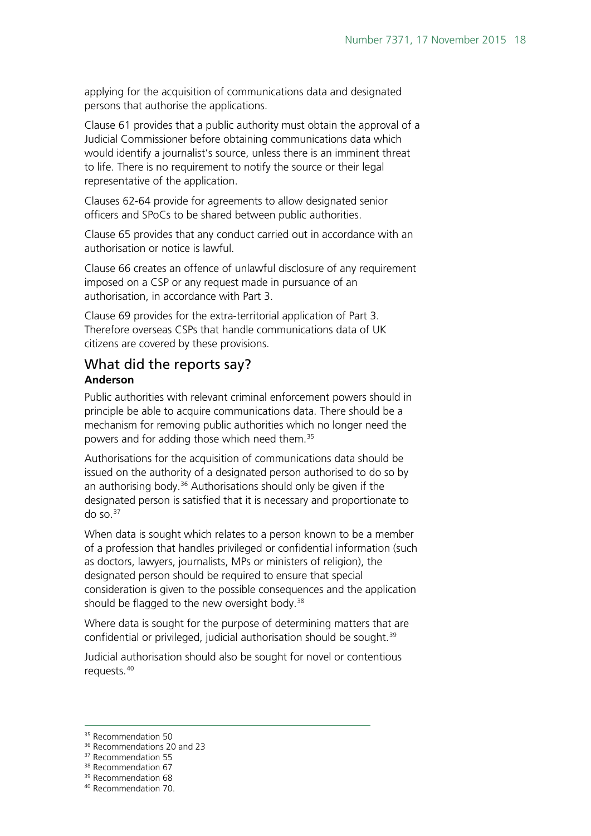applying for the acquisition of communications data and designated persons that authorise the applications.

Clause 61 provides that a public authority must obtain the approval of a Judicial Commissioner before obtaining communications data which would identify a journalist's source, unless there is an imminent threat to life. There is no requirement to notify the source or their legal representative of the application.

Clauses 62-64 provide for agreements to allow designated senior officers and SPoCs to be shared between public authorities.

Clause 65 provides that any conduct carried out in accordance with an authorisation or notice is lawful.

Clause 66 creates an offence of unlawful disclosure of any requirement imposed on a CSP or any request made in pursuance of an authorisation, in accordance with Part 3.

Clause 69 provides for the extra-territorial application of Part 3. Therefore overseas CSPs that handle communications data of UK citizens are covered by these provisions.

### <span id="page-17-0"></span>What did the reports say? **Anderson**

Public authorities with relevant criminal enforcement powers should in principle be able to acquire communications data. There should be a mechanism for removing public authorities which no longer need the powers and for adding those which need them.[35](#page-17-1)

Authorisations for the acquisition of communications data should be issued on the authority of a designated person authorised to do so by an authorising body.<sup>[36](#page-17-2)</sup> Authorisations should only be given if the designated person is satisfied that it is necessary and proportionate to do so. $37$ 

When data is sought which relates to a person known to be a member of a profession that handles privileged or confidential information (such as doctors, lawyers, journalists, MPs or ministers of religion), the designated person should be required to ensure that special consideration is given to the possible consequences and the application should be flagged to the new oversight body.<sup>[38](#page-17-4)</sup>

Where data is sought for the purpose of determining matters that are confidential or privileged, judicial authorisation should be sought.<sup>[39](#page-17-5)</sup>

Judicial authorisation should also be sought for novel or contentious requests.[40](#page-17-6)

<sup>&</sup>lt;sup>35</sup> Recommendation 50  $\overline{a}$ 

<span id="page-17-3"></span><span id="page-17-2"></span><span id="page-17-1"></span><sup>&</sup>lt;sup>36</sup> Recommendations 20 and 23

<sup>&</sup>lt;sup>37</sup> Recommendation 55

<sup>&</sup>lt;sup>38</sup> Recommendation 67

<span id="page-17-4"></span><sup>39</sup> Recommendation 68

<span id="page-17-6"></span><span id="page-17-5"></span><sup>40</sup> Recommendation 70.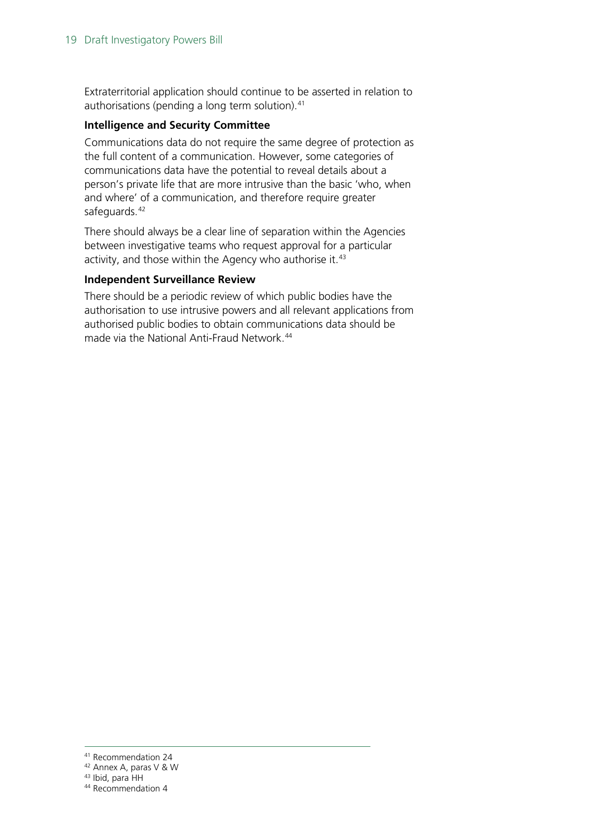Extraterritorial application should continue to be asserted in relation to authorisations (pending a long term solution).<sup>[41](#page-18-0)</sup>

#### **Intelligence and Security Committee**

Communications data do not require the same degree of protection as the full content of a communication. However, some categories of communications data have the potential to reveal details about a person's private life that are more intrusive than the basic 'who, when and where' of a communication, and therefore require greater safeguards.<sup>[42](#page-18-1)</sup>

There should always be a clear line of separation within the Agencies between investigative teams who request approval for a particular activity, and those within the Agency who authorise it.<sup>[43](#page-18-2)</sup>

#### **Independent Surveillance Review**

There should be a periodic review of which public bodies have the authorisation to use intrusive powers and all relevant applications from authorised public bodies to obtain communications data should be made via the National Anti-Fraud Network.<sup>[44](#page-18-3)</sup>

<sup>41</sup> Recommendation 24

<span id="page-18-1"></span><span id="page-18-0"></span><sup>42</sup> Annex A, paras V & W

<span id="page-18-2"></span><sup>43</sup> Ibid, para HH

<span id="page-18-3"></span><sup>&</sup>lt;sup>44</sup> Recommendation 4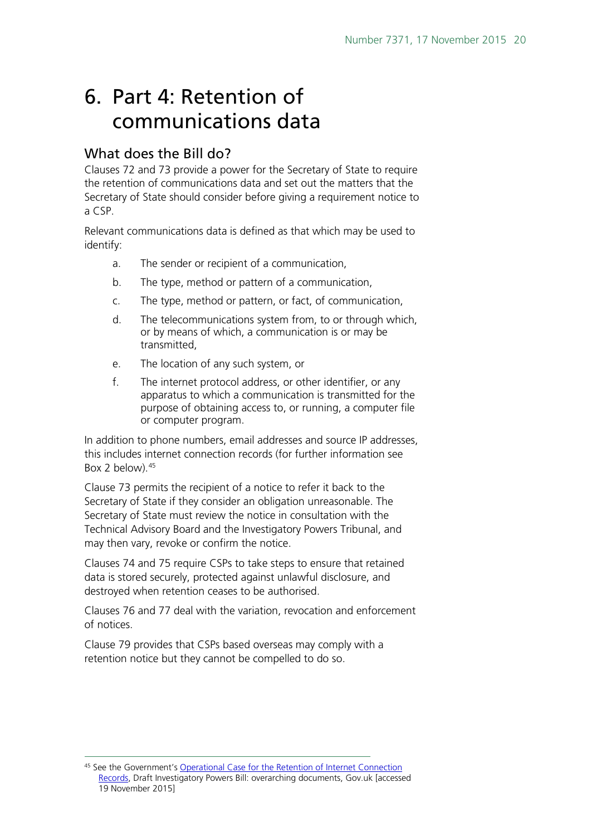## <span id="page-19-0"></span>6. Part 4: Retention of communications data

## <span id="page-19-1"></span>What does the Bill do?

Clauses 72 and 73 provide a power for the Secretary of State to require the retention of communications data and set out the matters that the Secretary of State should consider before giving a requirement notice to a CSP.

Relevant communications data is defined as that which may be used to identify:

- a. The sender or recipient of a communication,
- b. The type, method or pattern of a communication,
- c. The type, method or pattern, or fact, of communication,
- d. The telecommunications system from, to or through which, or by means of which, a communication is or may be transmitted,
- e. The location of any such system, or
- f. The internet protocol address, or other identifier, or any apparatus to which a communication is transmitted for the purpose of obtaining access to, or running, a computer file or computer program.

In addition to phone numbers, email addresses and source IP addresses, this includes internet connection records (for further information see Box 2 below).<sup>[45](#page-19-2)</sup>

Clause 73 permits the recipient of a notice to refer it back to the Secretary of State if they consider an obligation unreasonable. The Secretary of State must review the notice in consultation with the Technical Advisory Board and the Investigatory Powers Tribunal, and may then vary, revoke or confirm the notice.

Clauses 74 and 75 require CSPs to take steps to ensure that retained data is stored securely, protected against unlawful disclosure, and destroyed when retention ceases to be authorised.

Clauses 76 and 77 deal with the variation, revocation and enforcement of notices.

Clause 79 provides that CSPs based overseas may comply with a retention notice but they cannot be compelled to do so.

<span id="page-19-2"></span><sup>45</sup> See the Government's [Operational Case for the Retention of Internet Connection](https://www.gov.uk/government/uploads/system/uploads/attachment_data/file/473769/Internet_Connection_Records_Evidence_Base.pdf)  [Records,](https://www.gov.uk/government/uploads/system/uploads/attachment_data/file/473769/Internet_Connection_Records_Evidence_Base.pdf) Draft Investigatory Powers Bill: overarching documents, Gov.uk [accessed 19 November 2015] -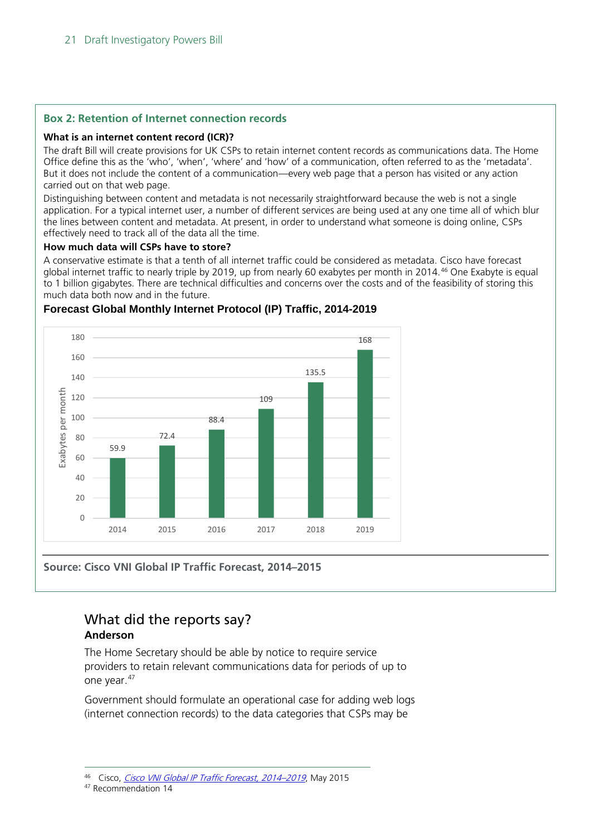#### **Box 2: Retention of Internet connection records**

#### **What is an internet content record (ICR)?**

The draft Bill will create provisions for UK CSPs to retain internet content records as communications data. The Home Office define this as the 'who', 'when', 'where' and 'how' of a communication, often referred to as the 'metadata'. But it does not include the content of a communication—every web page that a person has visited or any action carried out on that web page.

Distinguishing between content and metadata is not necessarily straightforward because the web is not a single application. For a typical internet user, a number of different services are being used at any one time all of which blur the lines between content and metadata. At present, in order to understand what someone is doing online, CSPs effectively need to track all of the data all the time.

#### **How much data will CSPs have to store?**

A conservative estimate is that a tenth of all internet traffic could be considered as metadata. Cisco have forecast global internet traffic to nearly triple by 2019, up from nearly 60 exabytes per month in 2014.<sup>[46](#page-20-1)</sup> One Exabyte is equal to 1 billion gigabytes. There are technical difficulties and concerns over the costs and of the feasibility of storing this much data both now and in the future.



#### **Forecast Global Monthly Internet Protocol (IP) Traffic, 2014-2019**

**Source: Cisco VNI Global IP Traffic Forecast, 2014–2015**

## <span id="page-20-0"></span>What did the reports say?

### **Anderson**

The Home Secretary should be able by notice to require service providers to retain relevant communications data for periods of up to one year.[47](#page-20-2)

Government should formulate an operational case for adding web logs (internet connection records) to the data categories that CSPs may be

<span id="page-20-2"></span><span id="page-20-1"></span><sup>47</sup> Recommendation 14

<sup>46</sup> Cisco, [Cisco VNI Global IP Traffic Forecast, 2014–2019](http://www.cisco.com/c/en/us/solutions/collateral/service-provider/visual-networking-index-vni/VNI_Hyperconnectivity_WP.pdf), May 2015 -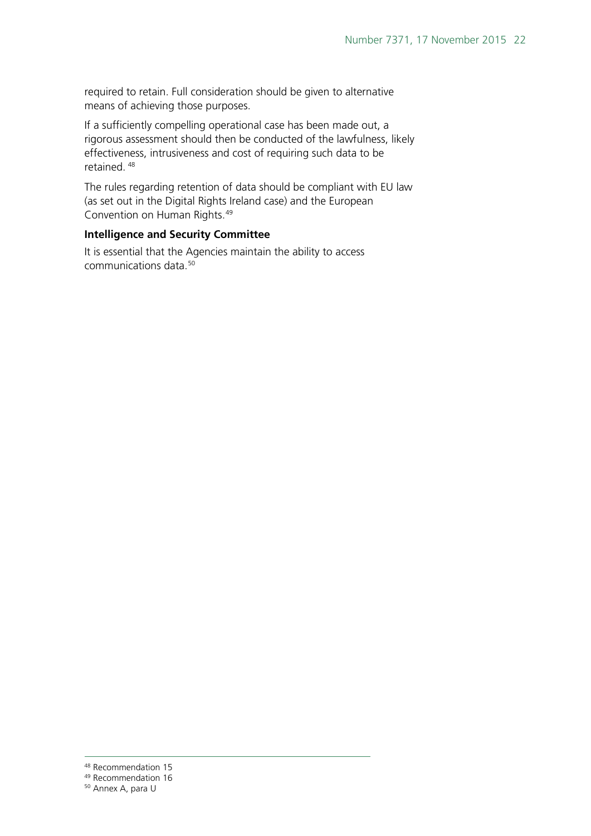required to retain. Full consideration should be given to alternative means of achieving those purposes.

If a sufficiently compelling operational case has been made out, a rigorous assessment should then be conducted of the lawfulness, likely effectiveness, intrusiveness and cost of requiring such data to be retained. [48](#page-21-0)

The rules regarding retention of data should be compliant with EU law (as set out in the Digital Rights Ireland case) and the European Convention on Human Rights.[49](#page-21-1)

#### **Intelligence and Security Committee**

It is essential that the Agencies maintain the ability to access communications data[.50](#page-21-2)

<sup>&</sup>lt;sup>48</sup> Recommendation 15

<span id="page-21-1"></span><span id="page-21-0"></span><sup>49</sup> Recommendation 16

<span id="page-21-2"></span><sup>50</sup> Annex A, para U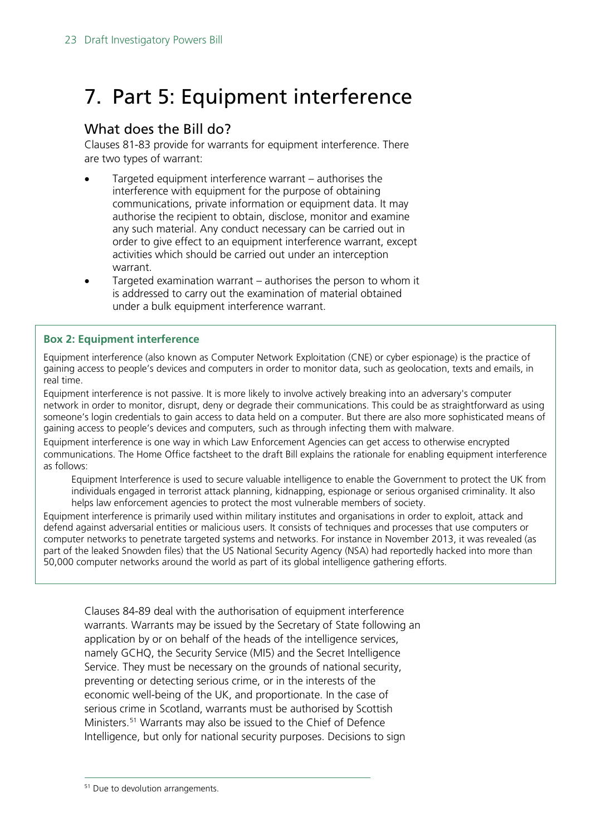## <span id="page-22-0"></span>7. Part 5: Equipment interference

## <span id="page-22-1"></span>What does the Bill do?

Clauses 81-83 provide for warrants for equipment interference. There are two types of warrant:

- Targeted equipment interference warrant authorises the interference with equipment for the purpose of obtaining communications, private information or equipment data. It may authorise the recipient to obtain, disclose, monitor and examine any such material. Any conduct necessary can be carried out in order to give effect to an equipment interference warrant, except activities which should be carried out under an interception warrant.
- Targeted examination warrant authorises the person to whom it is addressed to carry out the examination of material obtained under a bulk equipment interference warrant.

#### **Box 2: Equipment interference**

Equipment interference (also known as Computer Network Exploitation (CNE) or cyber espionage) is the practice of gaining access to people's devices and computers in order to monitor data, such as geolocation, texts and emails, in real time.

Equipment interference is not passive. It is more likely to involve actively breaking into an adversary's computer network in order to monitor, disrupt, deny or degrade their communications. This could be as straightforward as using someone's login credentials to gain access to data held on a computer. But there are also more sophisticated means of gaining access to people's devices and computers, such as through infecting them with malware.

Equipment interference is one way in which Law Enforcement Agencies can get access to otherwise encrypted communications. The Home Office factsheet to the draft Bill explains the rationale for enabling equipment interference as follows:

Equipment Interference is used to secure valuable intelligence to enable the Government to protect the UK from individuals engaged in terrorist attack planning, kidnapping, espionage or serious organised criminality. It also helps law enforcement agencies to protect the most vulnerable members of society.

Equipment interference is primarily used within military institutes and organisations in order to exploit, attack and defend against adversarial entities or malicious users. It consists of techniques and processes that use computers or computer networks to penetrate targeted systems and networks. For instance in November 2013, it was revealed (as part of the leaked Snowden files) that the US National Security Agency (NSA) had reportedly hacked into more than 50,000 computer networks around the world as part of its global intelligence gathering efforts.

Clauses 84-89 deal with the authorisation of equipment interference warrants. Warrants may be issued by the Secretary of State following an application by or on behalf of the heads of the intelligence services, namely GCHQ, the Security Service (MI5) and the Secret Intelligence Service. They must be necessary on the grounds of national security, preventing or detecting serious crime, or in the interests of the economic well-being of the UK, and proportionate. In the case of serious crime in Scotland, warrants must be authorised by Scottish Ministers.<sup>[51](#page-22-2)</sup> Warrants may also be issued to the Chief of Defence Intelligence, but only for national security purposes. Decisions to sign

<span id="page-22-2"></span><sup>&</sup>lt;sup>51</sup> Due to devolution arrangements.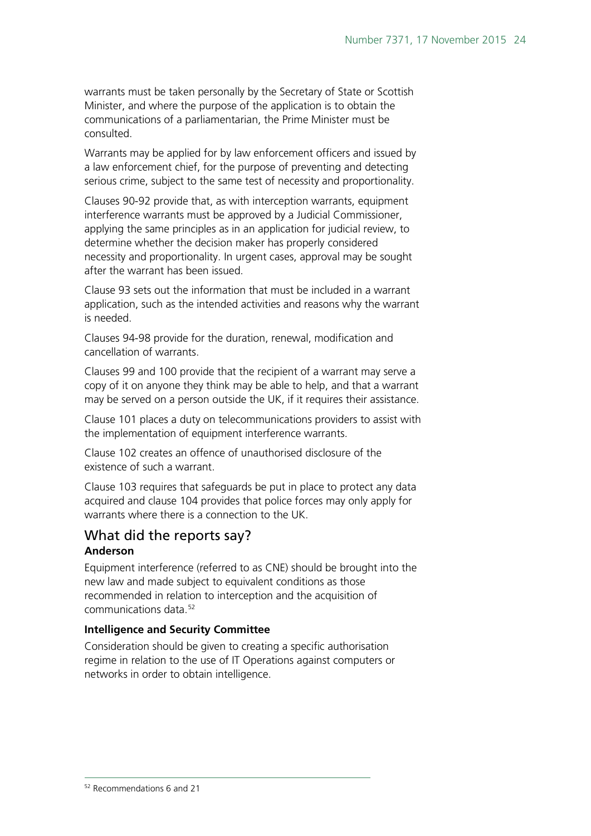warrants must be taken personally by the Secretary of State or Scottish Minister, and where the purpose of the application is to obtain the communications of a parliamentarian, the Prime Minister must be consulted.

Warrants may be applied for by law enforcement officers and issued by a law enforcement chief, for the purpose of preventing and detecting serious crime, subject to the same test of necessity and proportionality.

Clauses 90-92 provide that, as with interception warrants, equipment interference warrants must be approved by a Judicial Commissioner, applying the same principles as in an application for judicial review, to determine whether the decision maker has properly considered necessity and proportionality. In urgent cases, approval may be sought after the warrant has been issued.

Clause 93 sets out the information that must be included in a warrant application, such as the intended activities and reasons why the warrant is needed.

Clauses 94-98 provide for the duration, renewal, modification and cancellation of warrants.

Clauses 99 and 100 provide that the recipient of a warrant may serve a copy of it on anyone they think may be able to help, and that a warrant may be served on a person outside the UK, if it requires their assistance.

Clause 101 places a duty on telecommunications providers to assist with the implementation of equipment interference warrants.

Clause 102 creates an offence of unauthorised disclosure of the existence of such a warrant.

Clause 103 requires that safeguards be put in place to protect any data acquired and clause 104 provides that police forces may only apply for warrants where there is a connection to the UK.

### <span id="page-23-0"></span>What did the reports say? **Anderson**

Equipment interference (referred to as CNE) should be brought into the new law and made subject to equivalent conditions as those recommended in relation to interception and the acquisition of communications data.<sup>52</sup>

#### **Intelligence and Security Committee**

<span id="page-23-1"></span>Consideration should be given to creating a specific authorisation regime in relation to the use of IT Operations against computers or networks in order to obtain intelligence.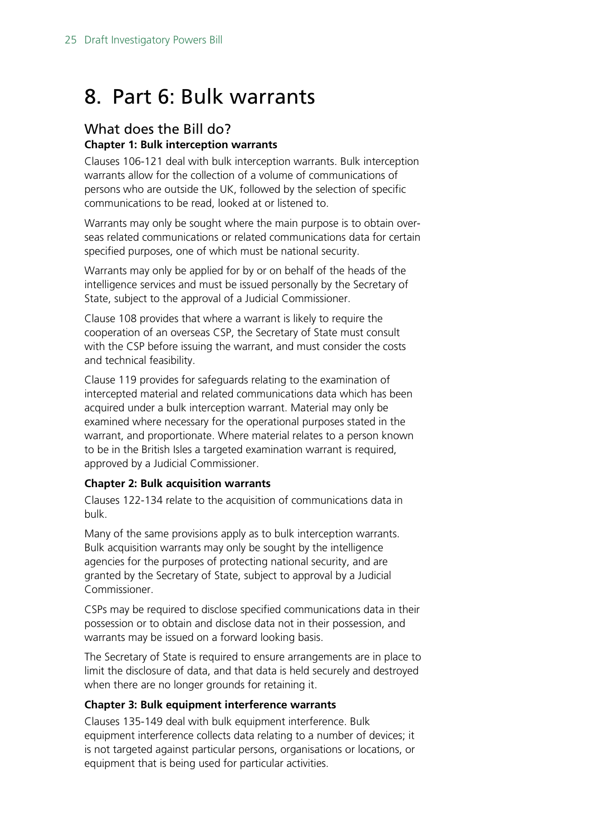## <span id="page-24-0"></span>8. Part 6: Bulk warrants

### <span id="page-24-1"></span>What does the Bill do? **Chapter 1: Bulk interception warrants**

Clauses 106-121 deal with bulk interception warrants. Bulk interception warrants allow for the collection of a volume of communications of persons who are outside the UK, followed by the selection of specific communications to be read, looked at or listened to.

Warrants may only be sought where the main purpose is to obtain overseas related communications or related communications data for certain specified purposes, one of which must be national security.

Warrants may only be applied for by or on behalf of the heads of the intelligence services and must be issued personally by the Secretary of State, subject to the approval of a Judicial Commissioner.

Clause 108 provides that where a warrant is likely to require the cooperation of an overseas CSP, the Secretary of State must consult with the CSP before issuing the warrant, and must consider the costs and technical feasibility.

Clause 119 provides for safeguards relating to the examination of intercepted material and related communications data which has been acquired under a bulk interception warrant. Material may only be examined where necessary for the operational purposes stated in the warrant, and proportionate. Where material relates to a person known to be in the British Isles a targeted examination warrant is required, approved by a Judicial Commissioner.

#### **Chapter 2: Bulk acquisition warrants**

Clauses 122-134 relate to the acquisition of communications data in bulk.

Many of the same provisions apply as to bulk interception warrants. Bulk acquisition warrants may only be sought by the intelligence agencies for the purposes of protecting national security, and are granted by the Secretary of State, subject to approval by a Judicial Commissioner.

CSPs may be required to disclose specified communications data in their possession or to obtain and disclose data not in their possession, and warrants may be issued on a forward looking basis.

The Secretary of State is required to ensure arrangements are in place to limit the disclosure of data, and that data is held securely and destroyed when there are no longer grounds for retaining it.

### **Chapter 3: Bulk equipment interference warrants**

Clauses 135-149 deal with bulk equipment interference. Bulk equipment interference collects data relating to a number of devices; it is not targeted against particular persons, organisations or locations, or equipment that is being used for particular activities.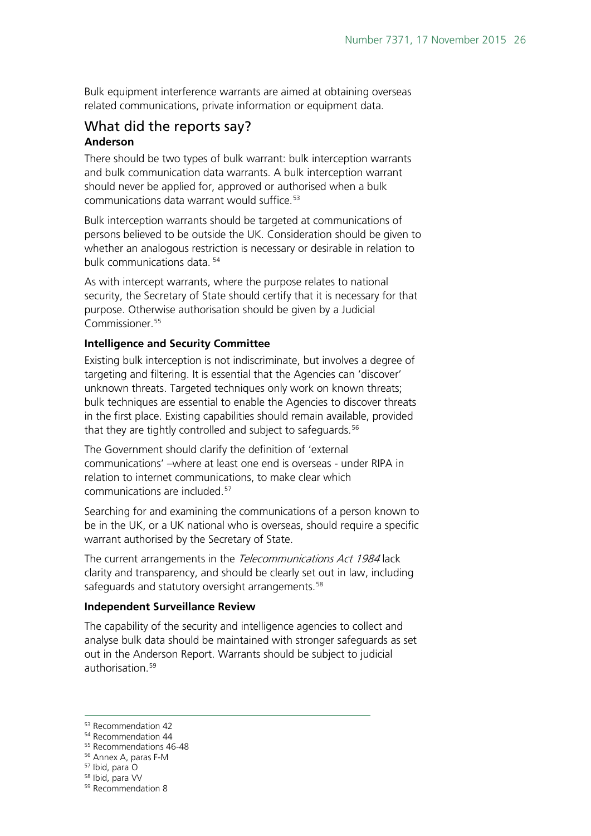Bulk equipment interference warrants are aimed at obtaining overseas related communications, private information or equipment data.

### <span id="page-25-0"></span>What did the reports say? **Anderson**

There should be two types of bulk warrant: bulk interception warrants and bulk communication data warrants. A bulk interception warrant should never be applied for, approved or authorised when a bulk communications data warrant would suffice.<sup>[53](#page-25-1)</sup>

Bulk interception warrants should be targeted at communications of persons believed to be outside the UK. Consideration should be given to whether an analogous restriction is necessary or desirable in relation to bulk communications data. [54](#page-25-2)

As with intercept warrants, where the purpose relates to national security, the Secretary of State should certify that it is necessary for that purpose. Otherwise authorisation should be given by a Judicial Commissioner.<sup>[55](#page-25-3)</sup>

#### **Intelligence and Security Committee**

Existing bulk interception is not indiscriminate, but involves a degree of targeting and filtering. It is essential that the Agencies can 'discover' unknown threats. Targeted techniques only work on known threats; bulk techniques are essential to enable the Agencies to discover threats in the first place. Existing capabilities should remain available, provided that they are tightly controlled and subject to safeguards.<sup>[56](#page-25-4)</sup>

The Government should clarify the definition of 'external communications' –where at least one end is overseas - under RIPA in relation to internet communications, to make clear which communications are included.[57](#page-25-5)

Searching for and examining the communications of a person known to be in the UK, or a UK national who is overseas, should require a specific warrant authorised by the Secretary of State.

The current arrangements in the Telecommunications Act 1984 lack clarity and transparency, and should be clearly set out in law, including safeguards and statutory oversight arrangements.<sup>[58](#page-25-6)</sup>

#### **Independent Surveillance Review**

The capability of the security and intelligence agencies to collect and analyse bulk data should be maintained with stronger safeguards as set out in the Anderson Report. Warrants should be subject to judicial authorisation.<sup>[59](#page-25-7)</sup>

<span id="page-25-2"></span><span id="page-25-1"></span><sup>53</sup> Recommendation 42

<sup>54</sup> Recommendation 44

<sup>55</sup> Recommendations 46-48

<span id="page-25-4"></span><span id="page-25-3"></span><sup>56</sup> Annex A, paras F-M

<span id="page-25-5"></span><sup>57</sup> Ibid, para O

<span id="page-25-6"></span><sup>58</sup> Ibid, para VV

<span id="page-25-7"></span><sup>59</sup> Recommendation 8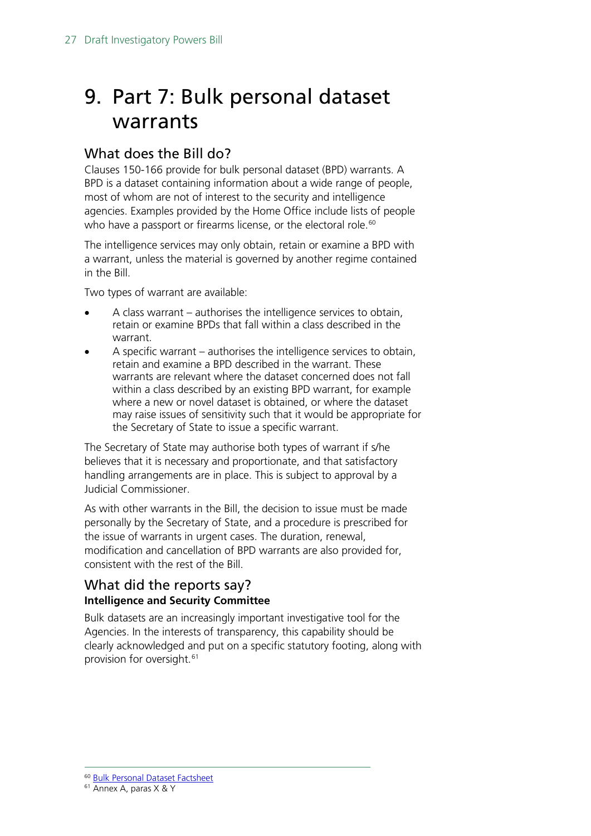## <span id="page-26-0"></span>9. Part 7: Bulk personal dataset warrants

## <span id="page-26-1"></span>What does the Bill do?

Clauses 150-166 provide for bulk personal dataset (BPD) warrants. A BPD is a dataset containing information about a wide range of people, most of whom are not of interest to the security and intelligence agencies. Examples provided by the Home Office include lists of people who have a passport or firearms license, or the electoral role.<sup>[60](#page-26-3)</sup>

The intelligence services may only obtain, retain or examine a BPD with a warrant, unless the material is governed by another regime contained in the Bill.

Two types of warrant are available:

- A class warrant authorises the intelligence services to obtain, retain or examine BPDs that fall within a class described in the warrant.
- A specific warrant authorises the intelligence services to obtain, retain and examine a BPD described in the warrant. These warrants are relevant where the dataset concerned does not fall within a class described by an existing BPD warrant, for example where a new or novel dataset is obtained, or where the dataset may raise issues of sensitivity such that it would be appropriate for the Secretary of State to issue a specific warrant.

The Secretary of State may authorise both types of warrant if s/he believes that it is necessary and proportionate, and that satisfactory handling arrangements are in place. This is subject to approval by a Judicial Commissioner.

As with other warrants in the Bill, the decision to issue must be made personally by the Secretary of State, and a procedure is prescribed for the issue of warrants in urgent cases. The duration, renewal, modification and cancellation of BPD warrants are also provided for, consistent with the rest of the Bill.

## <span id="page-26-2"></span>What did the reports say? **Intelligence and Security Committee**

Bulk datasets are an increasingly important investigative tool for the Agencies. In the interests of transparency, this capability should be clearly acknowledged and put on a specific statutory footing, along with provision for oversight.<sup>[61](#page-26-4)</sup>

<sup>60</sup> [Bulk Personal Dataset Factsheet](https://www.gov.uk/government/uploads/system/uploads/attachment_data/file/473750/Factsheet-Bulk_Personal_Datasets.pdf) -

<span id="page-26-4"></span><span id="page-26-3"></span><sup>61</sup> Annex A, paras X & Y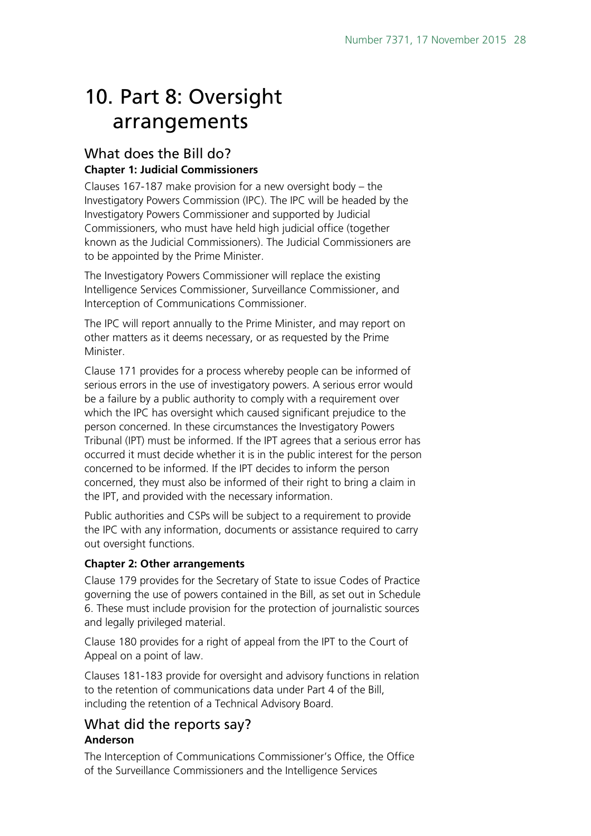## <span id="page-27-0"></span>10. Part 8: Oversight arrangements

### <span id="page-27-1"></span>What does the Bill do? **Chapter 1: Judicial Commissioners**

Clauses 167-187 make provision for a new oversight body – the Investigatory Powers Commission (IPC). The IPC will be headed by the Investigatory Powers Commissioner and supported by Judicial Commissioners, who must have held high judicial office (together known as the Judicial Commissioners). The Judicial Commissioners are to be appointed by the Prime Minister.

The Investigatory Powers Commissioner will replace the existing Intelligence Services Commissioner, Surveillance Commissioner, and Interception of Communications Commissioner.

The IPC will report annually to the Prime Minister, and may report on other matters as it deems necessary, or as requested by the Prime Minister.

Clause 171 provides for a process whereby people can be informed of serious errors in the use of investigatory powers. A serious error would be a failure by a public authority to comply with a requirement over which the IPC has oversight which caused significant prejudice to the person concerned. In these circumstances the Investigatory Powers Tribunal (IPT) must be informed. If the IPT agrees that a serious error has occurred it must decide whether it is in the public interest for the person concerned to be informed. If the IPT decides to inform the person concerned, they must also be informed of their right to bring a claim in the IPT, and provided with the necessary information.

Public authorities and CSPs will be subject to a requirement to provide the IPC with any information, documents or assistance required to carry out oversight functions.

### **Chapter 2: Other arrangements**

Clause 179 provides for the Secretary of State to issue Codes of Practice governing the use of powers contained in the Bill, as set out in Schedule 6. These must include provision for the protection of journalistic sources and legally privileged material.

Clause 180 provides for a right of appeal from the IPT to the Court of Appeal on a point of law.

Clauses 181-183 provide for oversight and advisory functions in relation to the retention of communications data under Part 4 of the Bill, including the retention of a Technical Advisory Board.

## <span id="page-27-2"></span>What did the reports say? **Anderson**

The Interception of Communications Commissioner's Office, the Office of the Surveillance Commissioners and the Intelligence Services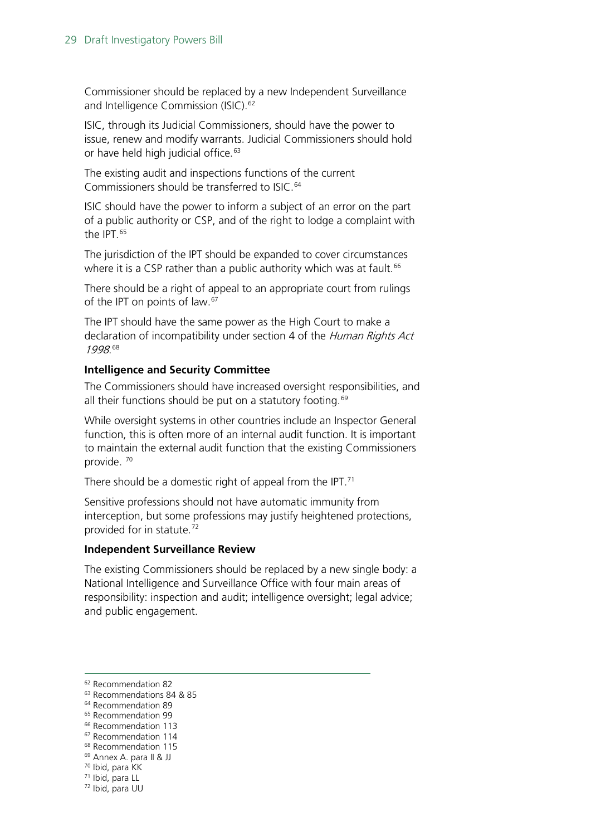Commissioner should be replaced by a new Independent Surveillance and Intelligence Commission (ISIC).<sup>[62](#page-28-0)</sup>

ISIC, through its Judicial Commissioners, should have the power to issue, renew and modify warrants. Judicial Commissioners should hold or have held high judicial office.<sup>[63](#page-28-1)</sup>

The existing audit and inspections functions of the current Commissioners should be transferred to ISIC.<sup>[64](#page-28-2)</sup>

ISIC should have the power to inform a subject of an error on the part of a public authority or CSP, and of the right to lodge a complaint with the IPT.<sup>[65](#page-28-3)</sup>

The jurisdiction of the IPT should be expanded to cover circumstances where it is a CSP rather than a public authority which was at fault.<sup>[66](#page-28-4)</sup>

There should be a right of appeal to an appropriate court from rulings of the IPT on points of law.<sup>[67](#page-28-5)</sup>

The IPT should have the same power as the High Court to make a declaration of incompatibility under section 4 of the Human Rights Act 1998. [68](#page-28-6)

#### **Intelligence and Security Committee**

The Commissioners should have increased oversight responsibilities, and all their functions should be put on a statutory footing.<sup>[69](#page-28-7)</sup>

While oversight systems in other countries include an Inspector General function, this is often more of an internal audit function. It is important to maintain the external audit function that the existing Commissioners provide. [70](#page-28-8)

There should be a domestic right of appeal from the IPT.<sup>[71](#page-28-9)</sup>

Sensitive professions should not have automatic immunity from interception, but some professions may justify heightened protections, provided for in statute.<sup>[72](#page-28-10)</sup>

#### **Independent Surveillance Review**

The existing Commissioners should be replaced by a new single body: a National Intelligence and Surveillance Office with four main areas of responsibility: inspection and audit; intelligence oversight; legal advice; and public engagement.

 $\overline{a}$ 

<span id="page-28-1"></span><sup>63</sup> Recommendations 84 & 85

<span id="page-28-10"></span><span id="page-28-9"></span><span id="page-28-8"></span><sup>71</sup> Ibid, para LL

<span id="page-28-0"></span><sup>62</sup> Recommendation 82

<sup>64</sup> Recommendation 89

<span id="page-28-3"></span><span id="page-28-2"></span><sup>&</sup>lt;sup>65</sup> Recommendation 99

<span id="page-28-5"></span><span id="page-28-4"></span><sup>&</sup>lt;sup>66</sup> Recommendation 113

<sup>67</sup> Recommendation 114

<span id="page-28-6"></span><sup>&</sup>lt;sup>68</sup> Recommendation 115

<span id="page-28-7"></span><sup>69</sup> Annex A. para II & JJ

<sup>70</sup> Ibid, para KK

<sup>72</sup> Ibid, para UU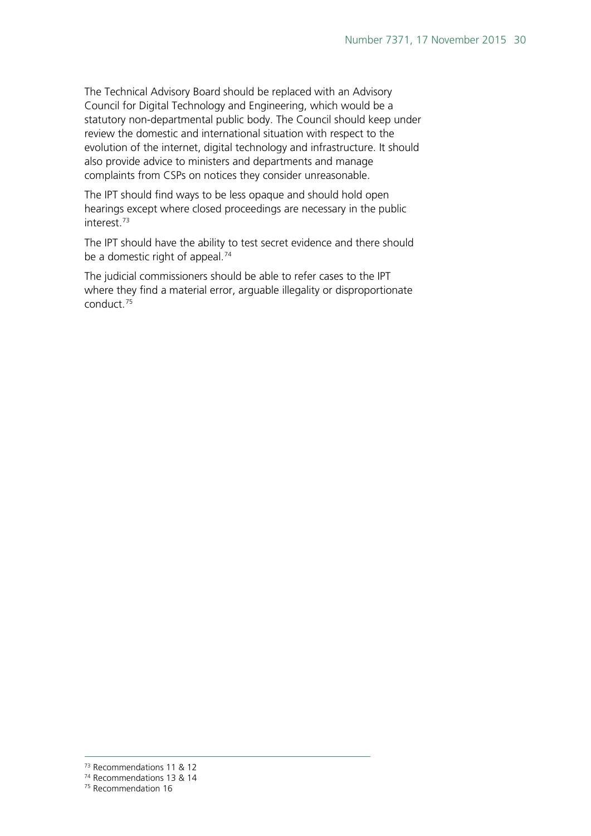The Technical Advisory Board should be replaced with an Advisory Council for Digital Technology and Engineering, which would be a statutory non-departmental public body. The Council should keep under review the domestic and international situation with respect to the evolution of the internet, digital technology and infrastructure. It should also provide advice to ministers and departments and manage complaints from CSPs on notices they consider unreasonable.

The IPT should find ways to be less opaque and should hold open hearings except where closed proceedings are necessary in the public interest[.73](#page-29-0)

The IPT should have the ability to test secret evidence and there should be a domestic right of appeal.<sup>[74](#page-29-1)</sup>

The judicial commissioners should be able to refer cases to the IPT where they find a material error, arguable illegality or disproportionate conduct.[75](#page-29-2)

<sup>73</sup> Recommendations 11 & 12

<span id="page-29-1"></span><span id="page-29-0"></span><sup>74</sup> Recommendations 13 & 14

<span id="page-29-2"></span><sup>75</sup> Recommendation 16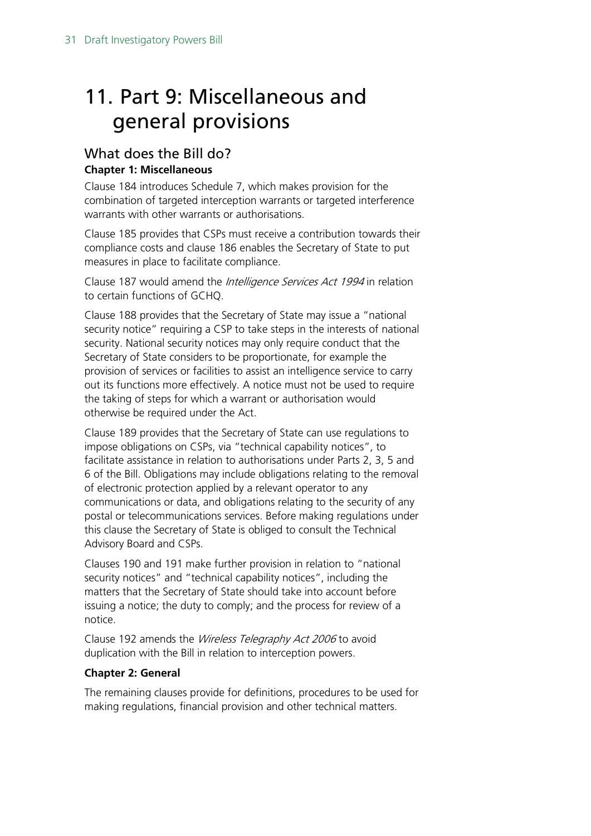## <span id="page-30-0"></span>11. Part 9: Miscellaneous and general provisions

### <span id="page-30-1"></span>What does the Bill do? **Chapter 1: Miscellaneous**

Clause 184 introduces Schedule 7, which makes provision for the combination of targeted interception warrants or targeted interference warrants with other warrants or authorisations.

Clause 185 provides that CSPs must receive a contribution towards their compliance costs and clause 186 enables the Secretary of State to put measures in place to facilitate compliance.

Clause 187 would amend the *Intelligence Services Act 1994* in relation to certain functions of GCHQ.

Clause 188 provides that the Secretary of State may issue a "national security notice" requiring a CSP to take steps in the interests of national security. National security notices may only require conduct that the Secretary of State considers to be proportionate, for example the provision of services or facilities to assist an intelligence service to carry out its functions more effectively. A notice must not be used to require the taking of steps for which a warrant or authorisation would otherwise be required under the Act.

Clause 189 provides that the Secretary of State can use regulations to impose obligations on CSPs, via "technical capability notices", to facilitate assistance in relation to authorisations under Parts 2, 3, 5 and 6 of the Bill. Obligations may include obligations relating to the removal of electronic protection applied by a relevant operator to any communications or data, and obligations relating to the security of any postal or telecommunications services. Before making regulations under this clause the Secretary of State is obliged to consult the Technical Advisory Board and CSPs.

Clauses 190 and 191 make further provision in relation to "national security notices" and "technical capability notices", including the matters that the Secretary of State should take into account before issuing a notice; the duty to comply; and the process for review of a notice.

Clause 192 amends the Wireless Telegraphy Act 2006 to avoid duplication with the Bill in relation to interception powers.

### **Chapter 2: General**

The remaining clauses provide for definitions, procedures to be used for making regulations, financial provision and other technical matters.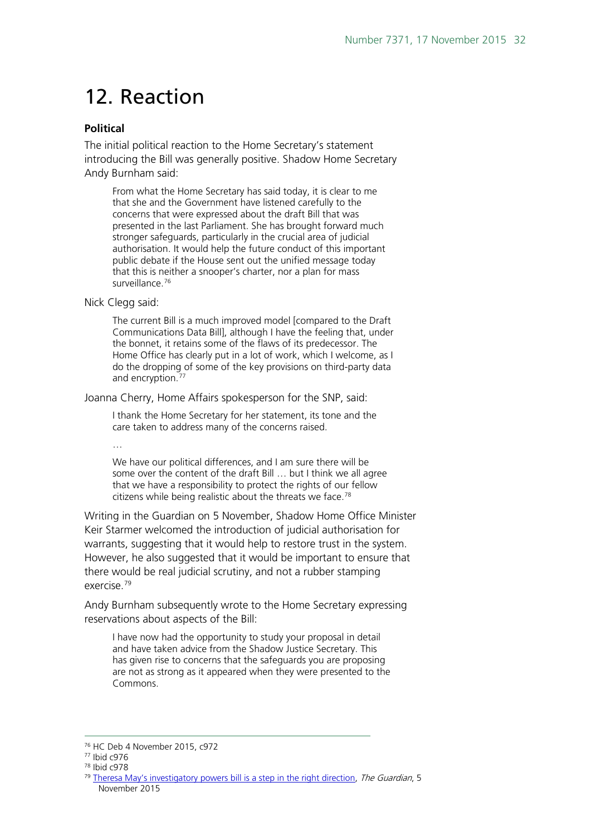## <span id="page-31-0"></span>12. Reaction

#### **Political**

The initial political reaction to the Home Secretary's statement introducing the Bill was generally positive. Shadow Home Secretary Andy Burnham said:

From what the Home Secretary has said today, it is clear to me that she and the Government have listened carefully to the concerns that were expressed about the draft Bill that was presented in the last Parliament. She has brought forward much stronger safeguards, particularly in the crucial area of judicial authorisation. It would help the future conduct of this important public debate if the House sent out the unified message today that this is neither a snooper's charter, nor a plan for mass surveillance.<sup>[76](#page-31-1)</sup>

#### Nick Clegg said:

The current Bill is a much improved model [compared to the Draft Communications Data Bill], although I have the feeling that, under the bonnet, it retains some of the flaws of its predecessor. The Home Office has clearly put in a lot of work, which I welcome, as I do the dropping of some of the key provisions on third-party data and encryption.<sup>[77](#page-31-2)</sup>

Joanna Cherry, Home Affairs spokesperson for the SNP, said:

I thank the Home Secretary for her statement, its tone and the care taken to address many of the concerns raised.

…

We have our political differences, and I am sure there will be some over the content of the draft Bill … but I think we all agree that we have a responsibility to protect the rights of our fellow citizens while being realistic about the threats we face.<sup>[78](#page-31-3)</sup>

Writing in the Guardian on 5 November, Shadow Home Office Minister Keir Starmer welcomed the introduction of judicial authorisation for warrants, suggesting that it would help to restore trust in the system. However, he also suggested that it would be important to ensure that there would be real judicial scrutiny, and not a rubber stamping exercise.[79](#page-31-4)

Andy Burnham subsequently wrote to the Home Secretary expressing reservations about aspects of the Bill:

I have now had the opportunity to study your proposal in detail and have taken advice from the Shadow Justice Secretary. This has given rise to concerns that the safeguards you are proposing are not as strong as it appeared when they were presented to the Commons.

<span id="page-31-1"></span> $76$  HC Deb 4 November 2015, c972<br> $77$  Ibid c976  $\overline{a}$ 

<span id="page-31-2"></span>

<span id="page-31-3"></span><sup>78</sup> Ibid c978

<span id="page-31-4"></span><sup>&</sup>lt;sup>79</sup> [Theresa May's investigatory powers bill is a step in the right direction,](http://www.theguardian.com/commentisfree/2015/nov/05/theresa-may-investigatory-powers-bill-surveillance) The Guardian, 5 November 2015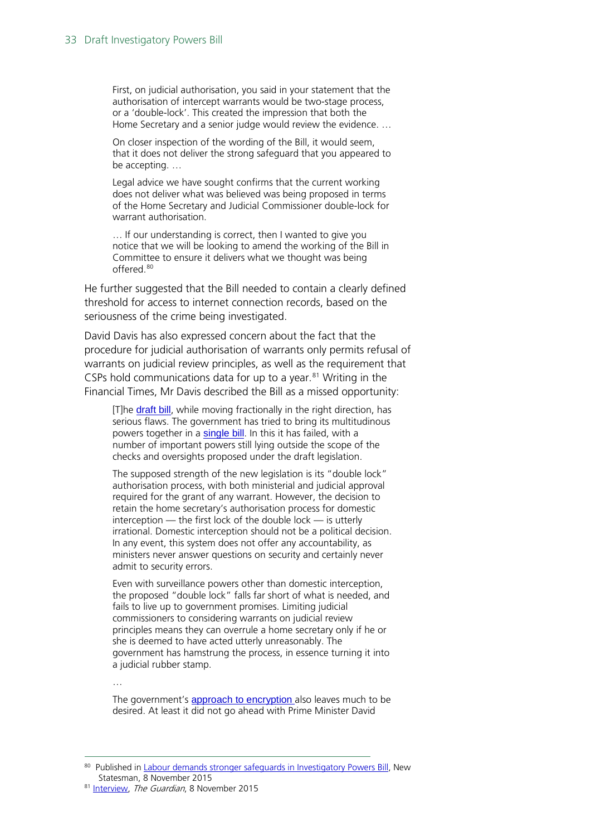First, on judicial authorisation, you said in your statement that the authorisation of intercept warrants would be two-stage process, or a 'double-lock'. This created the impression that both the Home Secretary and a senior judge would review the evidence. …

On closer inspection of the wording of the Bill, it would seem, that it does not deliver the strong safeguard that you appeared to be accepting. …

Legal advice we have sought confirms that the current working does not deliver what was believed was being proposed in terms of the Home Secretary and Judicial Commissioner double-lock for warrant authorisation.

… If our understanding is correct, then I wanted to give you notice that we will be looking to amend the working of the Bill in Committee to ensure it delivers what we thought was being offered.[80](#page-32-0)

He further suggested that the Bill needed to contain a clearly defined threshold for access to internet connection records, based on the seriousness of the crime being investigated.

David Davis has also expressed concern about the fact that the procedure for judicial authorisation of warrants only permits refusal of warrants on judicial review principles, as well as the requirement that CSPs hold communications data for up to a year. $81$  Writing in the Financial Times, Mr Davis described the Bill as a missed opportunity:

[T]he [draft bill](https://www.gov.uk/government/uploads/system/uploads/attachment_data/file/473770/Draft_Investigatory_Powers_Bill.pdf), while moving fractionally in the right direction, has serious flaws. The government has tried to bring its multitudinous powers together in a [single bill](http://blogs.ft.com/david-allen-green/2015/11/05/the-investigatory-powers-bill-will-it-work-in-practice/). In this it has failed, with a number of important powers still lying outside the scope of the checks and oversights proposed under the draft legislation.

The supposed strength of the new legislation is its "double lock" authorisation process, with both ministerial and judicial approval required for the grant of any warrant. However, the decision to retain the home secretary's authorisation process for domestic interception — the first lock of the double lock — is utterly irrational. Domestic interception should not be a political decision. In any event, this system does not offer any accountability, as ministers never answer questions on security and certainly never admit to security errors.

Even with surveillance powers other than domestic interception, the proposed "double lock" falls far short of what is needed, and fails to live up to government promises. Limiting judicial commissioners to considering warrants on judicial review principles means they can overrule a home secretary only if he or she is deemed to have acted utterly unreasonably. The government has hamstrung the process, in essence turning it into a judicial rubber stamp.

…

-

The government's [approach to encryption](http://www.ft.com/cms/s/0/cb7c3dfe-8217-11e5-a01c-8650859a4767.html%23axzz3qcBkbKzk) also leaves much to be desired. At least it did not go ahead with Prime Minister David

<span id="page-32-0"></span><sup>80</sup> Published i[n Labour demands stronger safeguards in Investigatory Powers Bill,](http://www.newstatesman.com/politics/uk/2015/11/labour-demands-stronger-safeguards-investigatory-powers-bill) New Statesman, 8 November 2015

<span id="page-32-1"></span><sup>81</sup> [Interview,](http://www.theguardian.com/politics/2015/nov/08/david-davis-stasi-gestapo-surveillance-tory-civil-liberties) The Guardian, 8 November 2015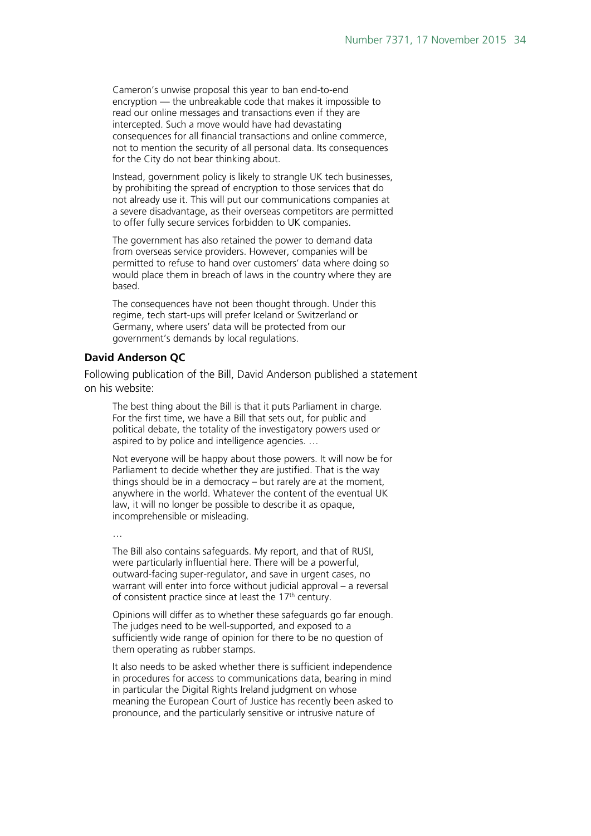Cameron's unwise proposal this year to ban end-to-end encryption — the unbreakable code that makes it impossible to read our online messages and transactions even if they are intercepted. Such a move would have had devastating consequences for all financial transactions and online commerce, not to mention the security of all personal data. Its consequences for the City do not bear thinking about.

Instead, government policy is likely to strangle UK tech businesses, by prohibiting the spread of encryption to those services that do not already use it. This will put our communications companies at a severe disadvantage, as their overseas competitors are permitted to offer fully secure services forbidden to UK companies.

The government has also retained the power to demand data from overseas service providers. However, companies will be permitted to refuse to hand over customers' data where doing so would place them in breach of laws in the country where they are based.

The consequences have not been thought through. Under this regime, tech start-ups will prefer Iceland or Switzerland or Germany, where users' data will be protected from our government's demands by local regulations.

#### **David Anderson QC**

Following publication of the Bill, David Anderson published a statement on his website:

The best thing about the Bill is that it puts Parliament in charge. For the first time, we have a Bill that sets out, for public and political debate, the totality of the investigatory powers used or aspired to by police and intelligence agencies. …

Not everyone will be happy about those powers. It will now be for Parliament to decide whether they are justified. That is the way things should be in a democracy – but rarely are at the moment, anywhere in the world. Whatever the content of the eventual UK law, it will no longer be possible to describe it as opaque, incomprehensible or misleading.

…

The Bill also contains safeguards. My report, and that of RUSI, were particularly influential here. There will be a powerful, outward-facing super-regulator, and save in urgent cases, no warrant will enter into force without judicial approval – a reversal of consistent practice since at least the 17<sup>th</sup> century.

Opinions will differ as to whether these safeguards go far enough. The judges need to be well-supported, and exposed to a sufficiently wide range of opinion for there to be no question of them operating as rubber stamps.

It also needs to be asked whether there is sufficient independence in procedures for access to communications data, bearing in mind in particular the Digital Rights Ireland judgment on whose meaning the European Court of Justice has recently been asked to pronounce, and the particularly sensitive or intrusive nature of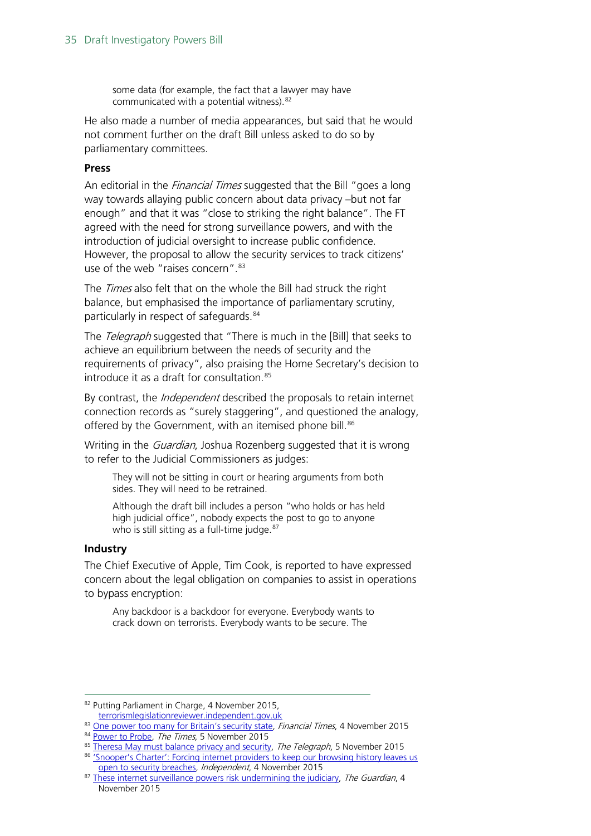some data (for example, the fact that a lawyer may have communicated with a potential witness).[82](#page-34-0)

He also made a number of media appearances, but said that he would not comment further on the draft Bill unless asked to do so by parliamentary committees.

#### **Press**

An editorial in the *Financial Times* suggested that the Bill "goes a long way towards allaying public concern about data privacy –but not far enough" and that it was "close to striking the right balance". The FT agreed with the need for strong surveillance powers, and with the introduction of judicial oversight to increase public confidence. However, the proposal to allow the security services to track citizens' use of the web "raises concern". $83$ 

The *Times* also felt that on the whole the Bill had struck the right balance, but emphasised the importance of parliamentary scrutiny, particularly in respect of safeguards.<sup>[84](#page-34-2)</sup>

The *Telegraph* suggested that "There is much in the [Bill] that seeks to achieve an equilibrium between the needs of security and the requirements of privacy", also praising the Home Secretary's decision to introduce it as a draft for consultation.<sup>[85](#page-34-3)</sup>

By contrast, the *Independent* described the proposals to retain internet connection records as "surely staggering", and questioned the analogy, offered by the Government, with an itemised phone bill.<sup>[86](#page-34-4)</sup>

Writing in the *Guardian*, Joshua Rozenberg suggested that it is wrong to refer to the Judicial Commissioners as judges:

They will not be sitting in court or hearing arguments from both sides. They will need to be retrained.

Although the draft bill includes a person "who holds or has held high judicial office", nobody expects the post to go to anyone who is still sitting as a full-time judge. $87$ 

#### **Industry**

-

The Chief Executive of Apple, Tim Cook, is reported to have expressed concern about the legal obligation on companies to assist in operations to bypass encryption:

Any backdoor is a backdoor for everyone. Everybody wants to crack down on terrorists. Everybody wants to be secure. The

<span id="page-34-0"></span><sup>82</sup> Putting Parliament in Charge, 4 November 2015, [terrorismlegislationreviewer.independent.gov.uk](https://terrorismlegislationreviewer.independent.gov.uk/putting-parliament-in-charge/)

<span id="page-34-1"></span><sup>83</sup> [One power too many for Britain's security state,](http://www.ft.com/cms/s/0/d2df900a-82ee-11e5-8e80-1574112844fd.html%23axzz3rqH3P7wuhttp://www.ft.com/cms/s/0/d2df900a-82ee-11e5-8e80-1574112844fd.html) Financial Times, 4 November 2015 84 [Power to Probe,](http://www.thetimes.co.uk/tto/opinion/leaders/article4604924.ece) The Times, 5 November 2015

<span id="page-34-4"></span><span id="page-34-3"></span><span id="page-34-2"></span><sup>85</sup> [Theresa May must balance privacy and security,](http://www.telegraph.co.uk/news/11975368/Theresa-May-Snoopers-Charter.html) The Telegraph, 5 November 2015 86 'Snooper's Charter': Forcing internet providers to keep our browsing history leaves us [open to security breaches,](http://www.independent.co.uk/voices/snoopers-charter-forcing-internet-providers-to-keep-our-browsing-history-leaves-us-open-to-security-a6721636.html) Independent, 4 November 2015

<span id="page-34-5"></span><sup>87</sup> [These internet surveillance powers risk undermining the judiciary,](http://www.theguardian.com/commentisfree/2015/nov/04/internet-surveillance-judiciary-theresa-may-web-browsing) The Guardian, 4 November 2015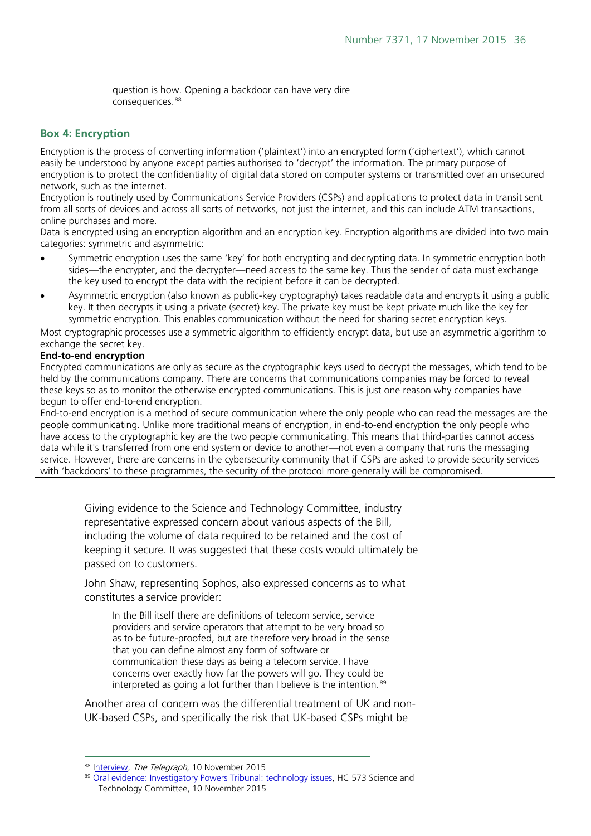question is how. Opening a backdoor can have very dire consequences.<sup>[88](#page-35-0)</sup>

#### **Box 4: Encryption**

Encryption is the process of converting information ('plaintext') into an encrypted form ('ciphertext'), which cannot easily be understood by anyone except parties authorised to 'decrypt' the information. The primary purpose of encryption is to protect the confidentiality of digital data stored on computer systems or transmitted over an unsecured network, such as the internet.

Encryption is routinely used by Communications Service Providers (CSPs) and applications to protect data in transit sent from all sorts of devices and across all sorts of networks, not just the internet, and this can include ATM transactions, online purchases and more.

Data is encrypted using an encryption algorithm and an encryption key. Encryption algorithms are divided into two main categories: symmetric and asymmetric:

- Symmetric encryption uses the same 'key' for both encrypting and decrypting data. In symmetric encryption both sides—the encrypter, and the decrypter—need access to the same key. Thus the sender of data must exchange the key used to encrypt the data with the recipient before it can be decrypted.
- Asymmetric encryption (also known as public-key cryptography) takes readable data and encrypts it using a public key. It then decrypts it using a private (secret) key. The private key must be kept private much like the key for symmetric encryption. This enables communication without the need for sharing secret encryption keys.

Most cryptographic processes use a symmetric algorithm to efficiently encrypt data, but use an asymmetric algorithm to exchange the secret key.

#### **End-to-end encryption**

Encrypted communications are only as secure as the cryptographic keys used to decrypt the messages, which tend to be held by the communications company. There are concerns that communications companies may be forced to reveal these keys so as to monitor the otherwise encrypted communications. This is just one reason why companies have begun to offer end-to-end encryption.

End-to-end encryption is a method of secure communication where the only people who can read the messages are the people communicating. Unlike more traditional means of encryption, in end-to-end encryption the only people who have access to the cryptographic key are the two people communicating. This means that third-parties cannot access data while it's transferred from one end system or device to another—not even a company that runs the messaging service. However, there are concerns in the cybersecurity community that if CSPs are asked to provide security services with 'backdoors' to these programmes, the security of the protocol more generally will be compromised.

Giving evidence to the Science and Technology Committee, industry representative expressed concern about various aspects of the Bill, including the volume of data required to be retained and the cost of keeping it secure. It was suggested that these costs would ultimately be passed on to customers.

John Shaw, representing Sophos, also expressed concerns as to what constitutes a service provider:

In the Bill itself there are definitions of telecom service, service providers and service operators that attempt to be very broad so as to be future-proofed, but are therefore very broad in the sense that you can define almost any form of software or communication these days as being a telecom service. I have concerns over exactly how far the powers will go. They could be interpreted as going a lot further than I believe is the intention.<sup>[89](#page-35-1)</sup>

Another area of concern was the differential treatment of UK and non-UK-based CSPs, and specifically the risk that UK-based CSPs might be

<sup>-</sup>

<span id="page-35-1"></span><span id="page-35-0"></span><sup>88</sup> Interview, The Telegraph, 10 November 2015<br>89 [Oral evidence: Investigatory Powers Tribunal: technology issues,](http://data.parliament.uk/writtenevidence/committeeevidence.svc/evidencedocument/science-and-technology-committee/investigatory-powers-bill-technology-issues/oral/24378.html) HC 573 Science and Technology Committee, 10 November 2015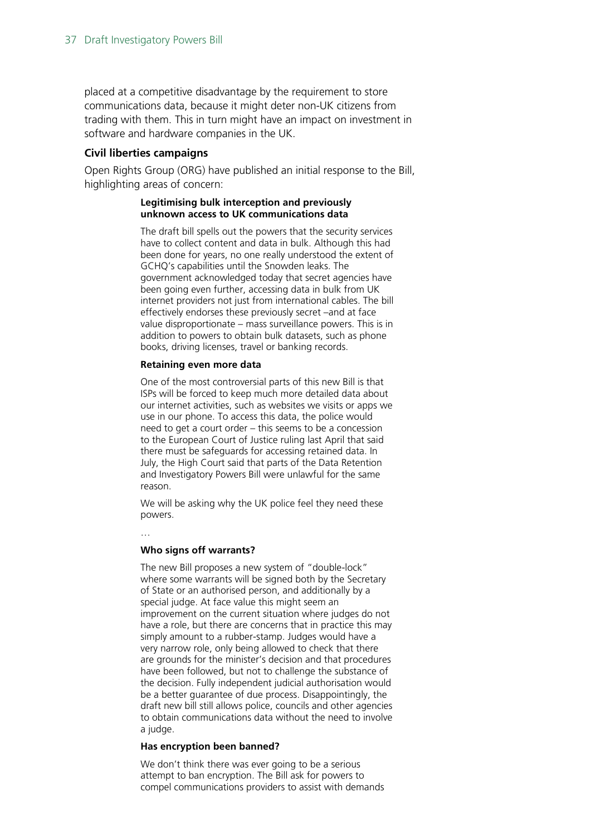placed at a competitive disadvantage by the requirement to store communications data, because it might deter non-UK citizens from trading with them. This in turn might have an impact on investment in software and hardware companies in the UK.

#### **Civil liberties campaigns**

Open Rights Group (ORG) have published an initial response to the Bill, highlighting areas of concern:

#### **Legitimising bulk interception and previously unknown access to UK communications data**

The draft bill spells out the powers that the security services have to collect content and data in bulk. Although this had been done for years, no one really understood the extent of GCHQ's capabilities until the Snowden leaks. The government acknowledged today that secret agencies have been going even further, accessing data in bulk from UK internet providers not just from international cables. The bill effectively endorses these previously secret –and at face value disproportionate – mass surveillance powers. This is in addition to powers to obtain bulk datasets, such as phone books, driving licenses, travel or banking records.

#### **Retaining even more data**

One of the most controversial parts of this new Bill is that ISPs will be forced to keep much more detailed data about our internet activities, such as websites we visits or apps we use in our phone. To access this data, the police would need to get a court order – this seems to be a concession to the European Court of Justice ruling last April that said there must be safeguards for accessing retained data. In July, the High Court said that parts of the Data Retention and Investigatory Powers Bill were unlawful for the same reason.

We will be asking why the UK police feel they need these powers.

…

#### **Who signs off warrants?**

The new Bill proposes a new system of "double-lock" where some warrants will be signed both by the Secretary of State or an authorised person, and additionally by a special judge. At face value this might seem an improvement on the current situation where judges do not have a role, but there are concerns that in practice this may simply amount to a rubber-stamp. Judges would have a very narrow role, only being allowed to check that there are grounds for the minister's decision and that procedures have been followed, but not to challenge the substance of the decision. Fully independent judicial authorisation would be a better guarantee of due process. Disappointingly, the draft new bill still allows police, councils and other agencies to obtain communications data without the need to involve a judge.

#### **Has encryption been banned?**

We don't think there was ever going to be a serious attempt to ban encryption. The Bill ask for powers to compel communications providers to assist with demands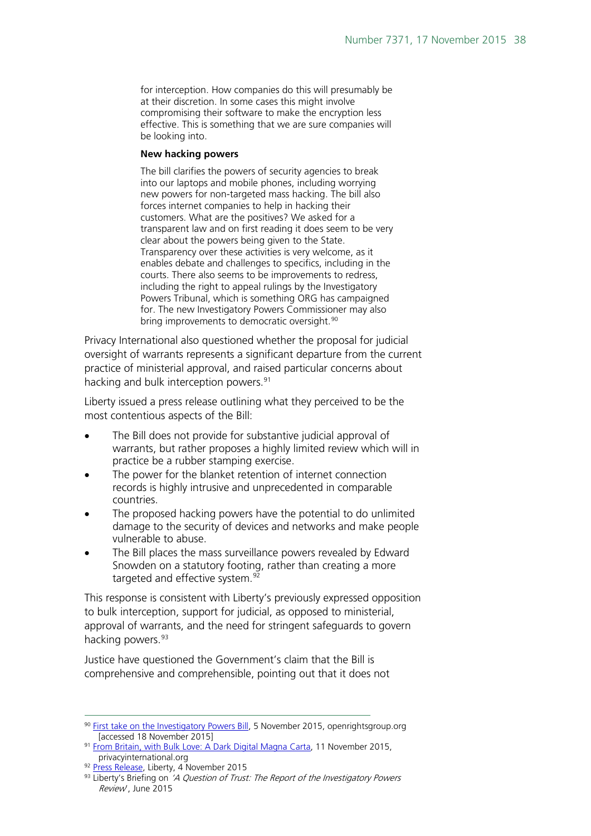for interception. How companies do this will presumably be at their discretion. In some cases this might involve compromising their software to make the encryption less effective. This is something that we are sure companies will be looking into.

#### **New hacking powers**

The bill clarifies the powers of security agencies to break into our laptops and mobile phones, including worrying new powers for non-targeted mass hacking. The bill also forces internet companies to help in hacking their customers. What are the positives? We asked for a transparent law and on first reading it does seem to be very clear about the powers being given to the State. Transparency over these activities is very welcome, as it enables debate and challenges to specifics, including in the courts. There also seems to be improvements to redress, including the right to appeal rulings by the Investigatory Powers Tribunal, which is something ORG has campaigned for. The new Investigatory Powers Commissioner may also bring improvements to democratic oversight.<sup>[90](#page-37-0)</sup>

Privacy International also questioned whether the proposal for judicial oversight of warrants represents a significant departure from the current practice of ministerial approval, and raised particular concerns about hacking and bulk interception powers.<sup>[91](#page-37-1)</sup>

Liberty issued a press release outlining what they perceived to be the most contentious aspects of the Bill:

- The Bill does not provide for substantive judicial approval of warrants, but rather proposes a highly limited review which will in practice be a rubber stamping exercise.
- The power for the blanket retention of internet connection records is highly intrusive and unprecedented in comparable countries.
- The proposed hacking powers have the potential to do unlimited damage to the security of devices and networks and make people vulnerable to abuse.
- The Bill places the mass surveillance powers revealed by Edward Snowden on a statutory footing, rather than creating a more targeted and effective system.<sup>[92](#page-37-2)</sup>

This response is consistent with Liberty's previously expressed opposition to bulk interception, support for judicial, as opposed to ministerial, approval of warrants, and the need for stringent safeguards to govern hacking powers. [93](#page-37-3)

Justice have questioned the Government's claim that the Bill is comprehensive and comprehensible, pointing out that it does not

<span id="page-37-0"></span> $90$  [First take on the Investigatory Powers Bill,](https://www.openrightsgroup.org/blog/2015/investigatory-powers-bill) 5 November 2015, openrightsgroup.org [accessed 18 November 2015]

<span id="page-37-1"></span><sup>&</sup>lt;sup>91</sup> [From Britain, with Bulk Love: A Dark Digital Magna Carta,](https://www.privacyinternational.org/node/672) 11 November 2015, privacyinternational.org

<sup>92</sup> Press Release, Liberty, 4 November 2015

<span id="page-37-3"></span><span id="page-37-2"></span> $93$  Liberty's Briefing on 'A Question of Trust: The Report of the Investigatory Powers Review', June 2015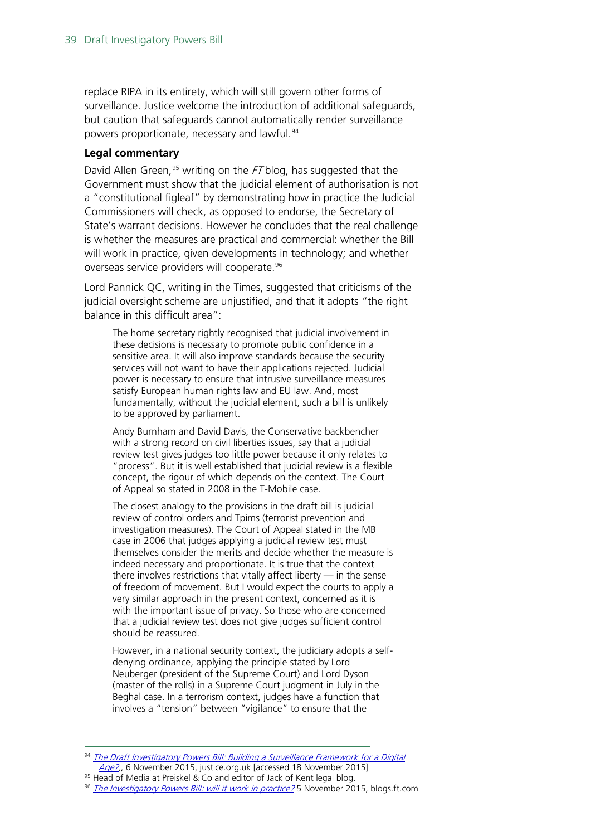replace RIPA in its entirety, which will still govern other forms of surveillance. Justice welcome the introduction of additional safeguards, but caution that safeguards cannot automatically render surveillance powers proportionate, necessary and lawful.<sup>[94](#page-38-0)</sup>

#### **Legal commentary**

David Allen Green,  $95$  writing on the FT blog, has suggested that the Government must show that the judicial element of authorisation is not a "constitutional figleaf" by demonstrating how in practice the Judicial Commissioners will check, as opposed to endorse, the Secretary of State's warrant decisions. However he concludes that the real challenge is whether the measures are practical and commercial: whether the Bill will work in practice, given developments in technology; and whether overseas service providers will cooperate.<sup>96</sup>

Lord Pannick QC, writing in the Times, suggested that criticisms of the judicial oversight scheme are unjustified, and that it adopts "the right balance in this difficult area":

The home secretary rightly recognised that judicial involvement in these decisions is necessary to promote public confidence in a sensitive area. It will also improve standards because the security services will not want to have their applications rejected. Judicial power is necessary to ensure that intrusive surveillance measures satisfy European human rights law and EU law. And, most fundamentally, without the judicial element, such a bill is unlikely to be approved by parliament.

Andy Burnham and David Davis, the Conservative backbencher with a strong record on civil liberties issues, say that a judicial review test gives judges too little power because it only relates to "process". But it is well established that judicial review is a flexible concept, the rigour of which depends on the context. The Court of Appeal so stated in 2008 in the T-Mobile case.

The closest analogy to the provisions in the draft bill is judicial review of control orders and Tpims (terrorist prevention and investigation measures). The Court of Appeal stated in the MB case in 2006 that judges applying a judicial review test must themselves consider the merits and decide whether the measure is indeed necessary and proportionate. It is true that the context there involves restrictions that vitally affect liberty — in the sense of freedom of movement. But I would expect the courts to apply a very similar approach in the present context, concerned as it is with the important issue of privacy. So those who are concerned that a judicial review test does not give judges sufficient control should be reassured.

However, in a national security context, the judiciary adopts a selfdenying ordinance, applying the principle stated by Lord Neuberger (president of the Supreme Court) and Lord Dyson (master of the rolls) in a Supreme Court judgment in July in the Beghal case. In a terrorism context, judges have a function that involves a "tension" between "vigilance" to ensure that the

<sup>&</sup>lt;sup>94</sup> The Draft Investigatory Powers Bill: Building a Surveillance Framework for a Digital

<span id="page-38-1"></span><span id="page-38-0"></span>[Age?,](http://justice.org.uk/the-draft-investigatory-powers-bill-building-a-surveillance-framework-for-a-digital-age/) 6 November 2015, justice.org.uk [accessed 18 November 2015]<br><sup>95</sup> Head of Media at Preiskel & Co and editor of Jack of Kent legal blog.

<span id="page-38-2"></span><sup>&</sup>lt;sup>96</sup> [The Investigatory Powers Bill: will it work in practice?](http://blogs.ft.com/david-allen-green/author/davidallengreen/) 5 November 2015, blogs.ft.com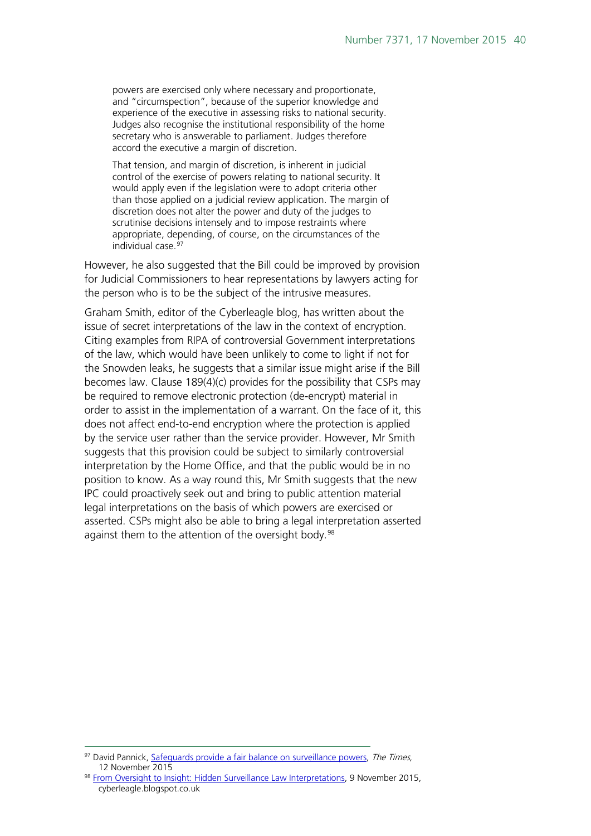powers are exercised only where necessary and proportionate, and "circumspection", because of the superior knowledge and experience of the executive in assessing risks to national security. Judges also recognise the institutional responsibility of the home secretary who is answerable to parliament. Judges therefore accord the executive a margin of discretion.

That tension, and margin of discretion, is inherent in judicial control of the exercise of powers relating to national security. It would apply even if the legislation were to adopt criteria other than those applied on a judicial review application. The margin of discretion does not alter the power and duty of the judges to scrutinise decisions intensely and to impose restraints where appropriate, depending, of course, on the circumstances of the individual case.<sup>[97](#page-39-0)</sup>

However, he also suggested that the Bill could be improved by provision for Judicial Commissioners to hear representations by lawyers acting for the person who is to be the subject of the intrusive measures.

Graham Smith, editor of the Cyberleagle blog, has written about the issue of secret interpretations of the law in the context of encryption. Citing examples from RIPA of controversial Government interpretations of the law, which would have been unlikely to come to light if not for the Snowden leaks, he suggests that a similar issue might arise if the Bill becomes law. Clause 189(4)(c) provides for the possibility that CSPs may be required to remove electronic protection (de-encrypt) material in order to assist in the implementation of a warrant. On the face of it, this does not affect end-to-end encryption where the protection is applied by the service user rather than the service provider. However, Mr Smith suggests that this provision could be subject to similarly controversial interpretation by the Home Office, and that the public would be in no position to know. As a way round this, Mr Smith suggests that the new IPC could proactively seek out and bring to public attention material legal interpretations on the basis of which powers are exercised or asserted. CSPs might also be able to bring a legal interpretation asserted against them to the attention of the oversight body.<sup>[98](#page-39-1)</sup>

<span id="page-39-0"></span><sup>&</sup>lt;sup>97</sup> David Pannick, [Safeguards provide a fair balance on surveillance powers,](http://www.thetimes.co.uk/tto/law/article4611174.ece) The Times, 12 November 2015

<span id="page-39-1"></span><sup>98</sup> [From Oversight to Insight: Hidden Surveillance Law Interpretations,](http://cyberleagle.blogspot.co.uk/) 9 November 2015, cyberleagle.blogspot.co.uk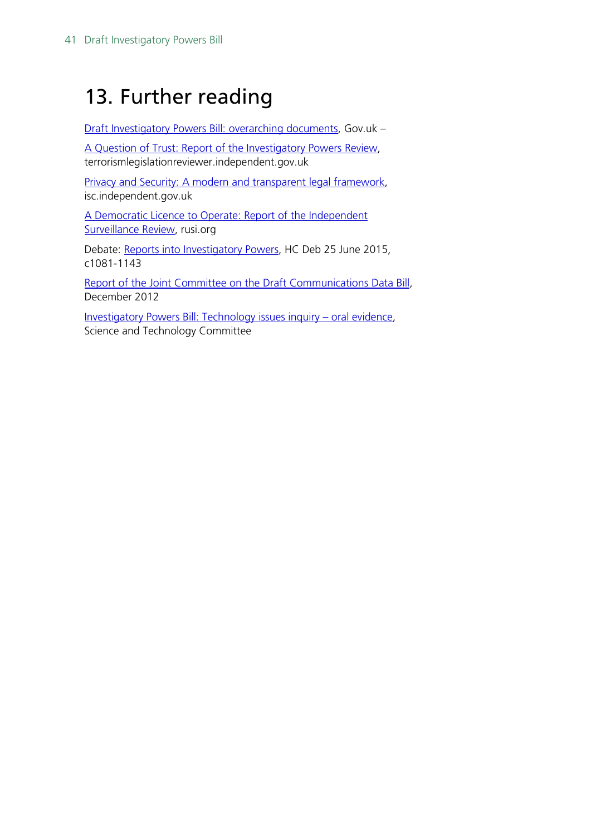## <span id="page-40-0"></span>13. Further reading

[Draft Investigatory Powers Bill: overarching documents,](https://www.gov.uk/government/publications/draft-investigatory-powers-bill-overarching-documents) Gov.uk –

[A Question of Trust: Report of the Investigatory Powers Review,](https://terrorismlegislationreviewer.independent.gov.uk/wp-content/uploads/2015/06/IPR-Report-Print-Version.pdf) terrorismlegislationreviewer.independent.gov.uk

[Privacy and Security: A modern and transparent legal framework,](http://isc.independent.gov.uk/committee-reports/special-reports) isc.independent.gov.uk

[A Democratic Licence to Operate: Report of the Independent](https://rusi.org/publication/whitehall-reports/democratic-licence-operate-report-independent-surveillance-review)  [Surveillance Review,](https://rusi.org/publication/whitehall-reports/democratic-licence-operate-report-independent-surveillance-review) rusi.org

Debate: [Reports into Investigatory Powers,](http://www.publications.parliament.uk/pa/cm201516/cmhansrd/cm150625/debtext/150625-0002.htm) HC Deb 25 June 2015, c1081-1143

[Report of the Joint Committee on the Draft Communications Data Bill,](http://www.publications.parliament.uk/pa/jt201213/jtselect/jtdraftcomuni/79/7902.htm) December 2012

[Investigatory Powers Bill: Technology issues inquiry –](http://data.parliament.uk/writtenevidence/committeeevidence.svc/evidencedocument/science-and-technology-committee/investigatory-powers-bill-technology-issues/oral/24378.html) oral evidence, Science and Technology Committee